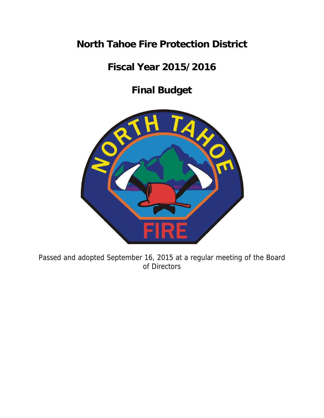# **North Tahoe Fire Protection District**

# **Fiscal Year 2015/2016**

# **Final Budget**



Passed and adopted September 16, 2015 at a regular meeting of the Board of Directors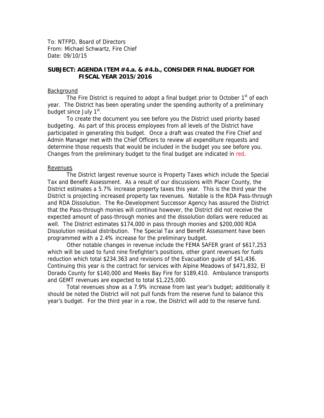To: NTFPD, Board of Directors From: Michael Schwartz, Fire Chief Date: 09/10/15

# **SUBJECT: AGENDA ITEM #4.a. & #4.b., CONSIDER FINAL BUDGET FOR FISCAL YEAR 2015/2016**

#### **Background**

The Fire District is required to adopt a final budget prior to October  $1<sup>st</sup>$  of each year. The District has been operating under the spending authority of a preliminary budget since July 1<sup>st</sup>.

To create the document you see before you the District used priority based budgeting. As part of this process employees from all levels of the District have participated in generating this budget. Once a draft was created the Fire Chief and Admin Manager met with the Chief Officers to review all expenditure requests and determine those requests that would be included in the budget you see before you. Changes from the preliminary budget to the final budget are indicated in red.

#### Revenues

The District largest revenue source is Property Taxes which include the Special Tax and Benefit Assessment. As a result of our discussions with Placer County, the District estimates a 5.7% increase property taxes this year. This is the third year the District is projecting increased property tax revenues. Notable is the RDA Pass-through and RDA Dissolution. The Re-Development Successor Agency has assured the District that the Pass-through monies will continue however, the District did not receive the expected amount of pass-through monies and the dissolution dollars were reduced as well. The District estimates \$174,000 in pass through monies and \$200,000 RDA Dissolution residual distribution. The Special Tax and Benefit Assessment have been programmed with a 2.4% increase for the preliminary budget.

Other notable changes in revenue include the FEMA SAFER grant of \$617,253 which will be used to fund nine firefighter's positions, other grant revenues for fuels reduction which total \$234.363 and revisions of the Evacuation guide of \$41,436. Continuing this year is the contract for services with Alpine Meadows of \$471,832, El Dorado County for \$140,000 and Meeks Bay Fire for \$189,410. Ambulance transports and GEMT revenues are expected to total \$1,225,000.

Total revenues show as a 7.9% increase from last year's budget; additionally it should be noted the District will not pull funds from the reserve fund to balance this year's budget. For the third year in a row, the District will add to the reserve fund.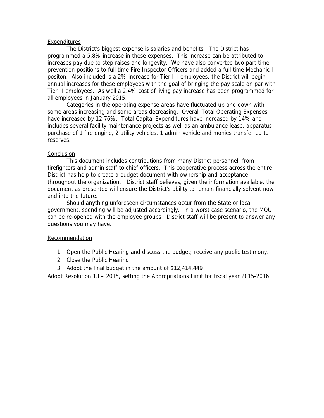#### Expenditures

The District's biggest expense is salaries and benefits. The District has programmed a 5.8% increase in these expenses. This increase can be attributed to increases pay due to step raises and longevity. We have also converted two part time prevention positions to full time Fire Inspector Officers and added a full time Mechanic I positon. Also included is a 2% increase for Tier III employees; the District will begin annual increases for these employees with the goal of bringing the pay scale on par with Tier II employees. As well a 2.4% cost of living pay increase has been programmed for all employees in January 2015.

Categories in the operating expense areas have fluctuated up and down with some areas increasing and some areas decreasing. Overall Total Operating Expenses have increased by 12.76%. Total Capital Expenditures have increased by 14% and includes several facility maintenance projects as well as an ambulance lease, apparatus purchase of 1 fire engine, 2 utility vehicles, 1 admin vehicle and monies transferred to reserves.

# Conclusion

 This document includes contributions from many District personnel; from firefighters and admin staff to chief officers. This cooperative process across the entire District has help to create a budget document with ownership and acceptance throughout the organization. District staff believes, given the information available, the document as presented will ensure the District's ability to remain financially solvent now and into the future.

 Should anything unforeseen circumstances occur from the State or local government, spending will be adjusted accordingly. In a worst case scenario, the MOU can be re-opened with the employee groups. District staff will be present to answer any questions you may have.

#### Recommendation

- 1. Open the Public Hearing and discuss the budget; receive any public testimony.
- 2. Close the Public Hearing
- 3. Adopt the final budget in the amount of \$12,414,449

Adopt Resolution 13 – 2015, setting the Appropriations Limit for fiscal year 2015-2016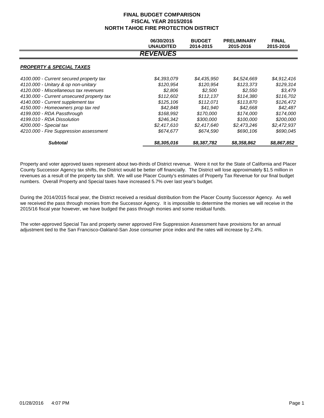|                                           | 06/30/2015<br><b>UNAUDITED</b> | <b>BUDGET</b><br>2014-2015 | <b>PRELIMINARY</b><br>2015-2016 | <b>FINAL</b><br>2015-2016 |
|-------------------------------------------|--------------------------------|----------------------------|---------------------------------|---------------------------|
|                                           | <b>REVENUES</b>                |                            |                                 |                           |
| <b>PROPERTY &amp; SPECIAL TAXES</b>       |                                |                            |                                 |                           |
| 4100.000 - Current secured property tax   | \$4,393,079                    | \$4,435,950                | \$4,524,669                     | \$4,912,416               |
| 4110.000 - Unitary & op non-unitary       | \$120.954                      | \$120.954                  | \$123.373                       | \$129,314                 |
| 4120.000 - Miscellaneous tax revenues     | \$2,806                        | \$2.500                    | \$2,550                         | \$3,479                   |
| 4130.000 - Current unsecured property tax | \$112,602                      | \$112,137                  | \$114,380                       | \$116,702                 |
| 4140.000 - Current supplement tax         | \$125,106                      | \$112.071                  | \$113,870                       | \$126,472                 |
| 4150.000 - Homeowners prop tax red        | \$42,848                       | \$41,940                   | \$42,668                        | \$42,487                  |
| 4199.000 - RDA Passthrough                | \$168.992                      | \$170,000                  | \$174,000                       | \$174,000                 |
| 4199.010 - RDA Dissolution                | \$246,342                      | \$300,000                  | \$100,000                       | \$200,000                 |
| 4200.000 - Special tax                    | \$2,417,610                    | \$2,417,640                | \$2,473,246                     | \$2,472,937               |
| 4210.000 - Fire Suppression assessment    | \$674,677                      | \$674,590                  | \$690,106                       | \$690,045                 |
| <b>Subtotal</b>                           | \$8,305,016                    | \$8,387,782                | \$8,358,862                     | \$8,867,852               |

Property and voter approved taxes represent about two-thirds of District revenue. Were it not for the State of California and Placer County Successor Agency tax shifts, the District would be better off financially. The District will lose approximately \$1.5 million in revenues as a result of the property tax shift. We will use Placer County's estimates of Property Tax Revenue for our final budget numbers. Overall Property and Special taxes have increased 5.7% over last year's budget.

During the 2014/2015 fiscal year, the District received a residual distribution from the Placer County Successor Agency. As well we received the pass through monies from the Successor Agency. It is impossible to determine the monies we will receive in the 2015/16 fiscal year however, we have budged the pass through monies and some residual funds.

The voter-approved Special Tax and property owner approved Fire Suppression Assessment have provisions for an annual adjustment tied to the San Francisco-Oakland-San Jose consumer price index and the rates will increase by 2.4%.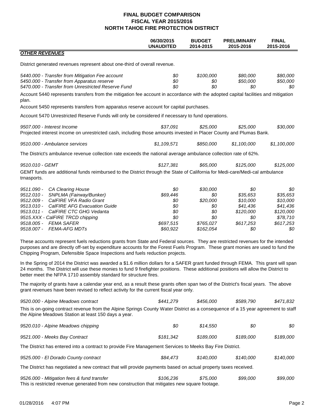|                                                                                                                                                                                                                                                                                                                                                                                                                                                                                         | 06/30/2015<br><b>UNAUDITED</b> | <b>BUDGET</b><br>2014-2015 | <b>PRELIMINARY</b><br>2015-2016 | <b>FINAL</b><br>2015-2016  |
|-----------------------------------------------------------------------------------------------------------------------------------------------------------------------------------------------------------------------------------------------------------------------------------------------------------------------------------------------------------------------------------------------------------------------------------------------------------------------------------------|--------------------------------|----------------------------|---------------------------------|----------------------------|
| <b>OTHER REVENUES</b>                                                                                                                                                                                                                                                                                                                                                                                                                                                                   |                                |                            |                                 |                            |
| District generated revenues represent about one-third of overall revenue.                                                                                                                                                                                                                                                                                                                                                                                                               |                                |                            |                                 |                            |
| 5440.000 - Transfer from Mitigation Fee account<br>5450.000 - Transfer from Apparatus reserve<br>5470.000 - Transfer from Unrestricted Reserve Fund                                                                                                                                                                                                                                                                                                                                     | \$0<br>\$0<br>\$0              | \$100,000<br>\$0<br>\$0    | \$80,000<br>\$50,000<br>\$0     | \$80,000<br>\$50,000<br>80 |
| Account 5440 represents transfers from the mitigation fee account in accordance with the adopted capital facilities and mitigation<br>plan.                                                                                                                                                                                                                                                                                                                                             |                                |                            |                                 |                            |
| Account 5450 represents transfers from apparatus reserve account for capital purchases.                                                                                                                                                                                                                                                                                                                                                                                                 |                                |                            |                                 |                            |
| Account 5470 Unrestricted Reserve Funds will only be considered if necessary to fund operations.                                                                                                                                                                                                                                                                                                                                                                                        |                                |                            |                                 |                            |
| 9507.000 - Interest Income<br>Projected interest income on unrestricted cash, including those amounts invested in Placer County and Plumas Bank.                                                                                                                                                                                                                                                                                                                                        | \$37,091                       | \$25,000                   | \$25,000                        | \$30,000                   |
| 9510.000 - Ambulance services                                                                                                                                                                                                                                                                                                                                                                                                                                                           | \$1,109,571                    | \$850,000                  | \$1,100,000                     | \$1,100,000                |
| The District's ambulance revenue collection rate exceeds the national average ambulance collection rate of 62%.                                                                                                                                                                                                                                                                                                                                                                         |                                |                            |                                 |                            |
| 9510.010 - GEMT                                                                                                                                                                                                                                                                                                                                                                                                                                                                         | \$127,381                      | \$65,000                   | \$125,000                       | \$125,000                  |
| GEMT funds are additional funds reimbursed to the District through the State of California for Medi-care/Medi-cal ambulance<br>trnasports.                                                                                                                                                                                                                                                                                                                                              |                                |                            |                                 |                            |
| 9511.090 -<br>CA Clearing House                                                                                                                                                                                                                                                                                                                                                                                                                                                         | \$0                            | \$30,000                   | \$0                             | \$0                        |
| SNPLMA (Fairway/Bunker)<br>$9512.010 -$                                                                                                                                                                                                                                                                                                                                                                                                                                                 | \$69,446                       | \$0                        | \$35,653                        | \$35,653                   |
| CalFIRE VFA Radio Grant<br>$9512.009 -$                                                                                                                                                                                                                                                                                                                                                                                                                                                 | \$0                            | \$20,000                   | \$10,000                        | \$10,000                   |
| $9513.010 -$<br><b>CalFIRE AFG Evacuation Guide</b><br>$9513.011 -$                                                                                                                                                                                                                                                                                                                                                                                                                     | \$0<br>\$0                     | \$0<br>\$0                 | \$41,436                        | \$41,436                   |
| CalFIRE CTC GHG Vedanta<br>9515.XXX - CalFIRE TRCD chipping                                                                                                                                                                                                                                                                                                                                                                                                                             | \$0                            | \$0                        | \$120,000<br>\$0                | \$120,000<br>\$78,710      |
| <b>FEMA SAFER</b><br>$9518.005 -$                                                                                                                                                                                                                                                                                                                                                                                                                                                       | \$697,515                      | \$765,027                  | \$617,253                       | \$617,253                  |
| 9518.007 -<br><b>FEMA-AFG MDTs</b>                                                                                                                                                                                                                                                                                                                                                                                                                                                      | \$60,922                       | \$162,054                  | \$0                             | 80                         |
| These accounts represent fuels reductions grants from State and Federal sources. They are restricted revenues for the intended<br>purposes and are directly off-set by expenditure accounts for the Forest Fuels Program. These grant monies are used to fund the<br>Chipping Program, Defensible Space Inspections and fuels reduction projects.<br>In the Spring of 2014 the District was awarded a \$1.6 million dollars for a SAFER grant funded through FEMA. This grant will span |                                |                            |                                 |                            |
| 24 months. The District will use these monies to fund 9 firefighter positions. These additional positions will allow the District to<br>better meet the NFPA 1710 assembly standard for structure fires.                                                                                                                                                                                                                                                                                |                                |                            |                                 |                            |
| The majority of grants have a calendar year end, as a result these grants often span two of the District's fiscal years. The above<br>grant revenues have been revised to reflect activity for the current fiscal year only.                                                                                                                                                                                                                                                            |                                |                            |                                 |                            |
| 9520.000 - Alpine Meadows contract                                                                                                                                                                                                                                                                                                                                                                                                                                                      | \$441,279                      | \$456,000                  | \$589,790                       | \$471,832                  |
| This is on-going contract revenue from the Alpine Springs County Water District as a consequence of a 15 year agreement to staff<br>the Alpine Meadows Station at least 150 days a year.                                                                                                                                                                                                                                                                                                |                                |                            |                                 |                            |
| 9520.010 - Alpine Meadows chipping                                                                                                                                                                                                                                                                                                                                                                                                                                                      | \$0                            | \$14,550                   | \$0                             | \$0                        |
| 9521.000 - Meeks Bay Contract                                                                                                                                                                                                                                                                                                                                                                                                                                                           | \$181,342                      | \$189,000                  | \$189,000                       | \$189,000                  |
| The District has entered into a contract to provide Fire Management Services to Meeks Bay Fire District.                                                                                                                                                                                                                                                                                                                                                                                |                                |                            |                                 |                            |
| 9525.000 - El Dorado County contract                                                                                                                                                                                                                                                                                                                                                                                                                                                    | \$84,473                       | \$140,000                  | \$140,000                       | \$140,000                  |
| The District has negotiated a new contract that will provide payments based on actual property taxes received.                                                                                                                                                                                                                                                                                                                                                                          |                                |                            |                                 |                            |
| 9526.000 - Mitigation fees & fund transfer<br>This is restricted revenue generated from new construction that mitigates new square footage.                                                                                                                                                                                                                                                                                                                                             | \$106,236                      | \$75,000                   | \$99,000                        | \$99,000                   |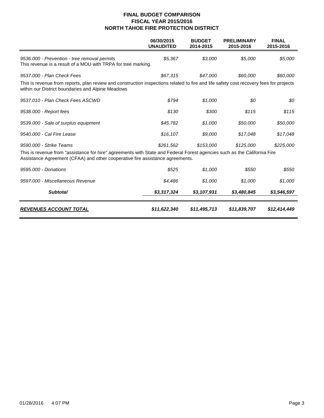|                                                                                                                                                                                                           | 06/30/2015<br><b>UNAUDITED</b> | <b>BUDGET</b><br>2014-2015 | <b>PRELIMINARY</b><br>2015-2016 | <b>FINAL</b><br>2015-2016 |
|-----------------------------------------------------------------------------------------------------------------------------------------------------------------------------------------------------------|--------------------------------|----------------------------|---------------------------------|---------------------------|
| 9536.000 - Prevention - tree removal permits<br>This revenue is a result of a MOU with TRPA for tree marking.                                                                                             | \$5,367                        | \$3,000                    | \$5,000                         | \$5,000                   |
| 9537.000 - Plan Check Fees                                                                                                                                                                                | \$67,315                       | \$47,000                   | \$60,000                        | \$60,000                  |
| This is revenue from reports, plan review and construction inspections related to fire and life safety cost recovery fees for projects<br>within our District boundaries and Alpine Meadows               |                                |                            |                                 |                           |
| 9537.010 - Plan Check Fees ASCWD                                                                                                                                                                          | \$794                          | \$1,000                    | \$0                             | \$0                       |
| 9538.000 - Report fees                                                                                                                                                                                    | \$130                          | \$300                      | \$115                           | \$115                     |
| 9539.000 - Sale of surplus equipment                                                                                                                                                                      | \$45,782                       | \$1,000                    | \$50,000                        | \$50,000                  |
| 9540,000 - Cal Fire Lease                                                                                                                                                                                 | \$16,107                       | \$9,000                    | \$17,048                        | \$17,048                  |
| 9590.000 - Strike Teams                                                                                                                                                                                   | \$261,562                      | \$153,000                  | \$125,000                       | \$225,000                 |
| This is revenue from "assistance for hire" agreements with State and Federal Forest agencies such as the California Fire<br>Assistance Agreement (CFAA) and other cooperative fire assistance agreements. |                                |                            |                                 |                           |
| 9595.000 - Donations                                                                                                                                                                                      | \$525                          | \$1,000                    | \$550                           | \$550                     |
| 9597.000 - Miscellaneous Revenue                                                                                                                                                                          | \$4,486                        | \$1,000                    | \$1,000                         | \$1,000                   |
| <b>Subtotal</b>                                                                                                                                                                                           | \$3,317,324                    | \$3,107,931                | \$3,480,845                     | \$3,546,597               |
| <b>REVENUES ACCOUNT TOTAL</b>                                                                                                                                                                             | \$11,622,340                   | \$11,495,713               | \$11,839,707                    | \$12,414,449              |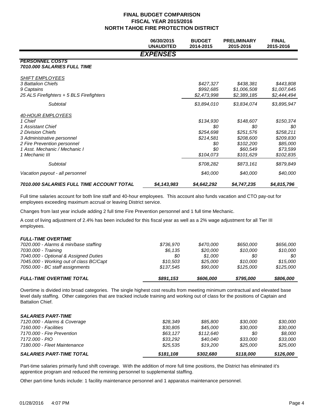|                                                                                                                                                                                               | 06/30/2015<br><b>UNAUDITED</b> | <b>BUDGET</b><br>2014-2015                                            | <b>PRELIMINARY</b><br>2015-2016                                                  | <b>FINAL</b><br>2015-2016                                                       |
|-----------------------------------------------------------------------------------------------------------------------------------------------------------------------------------------------|--------------------------------|-----------------------------------------------------------------------|----------------------------------------------------------------------------------|---------------------------------------------------------------------------------|
|                                                                                                                                                                                               | <b>EXPENSES</b>                |                                                                       |                                                                                  |                                                                                 |
| <b>PERSONNEL COSTS</b><br><b>7010.000 SALARIES FULL TIME</b>                                                                                                                                  |                                |                                                                       |                                                                                  |                                                                                 |
| <b>SHIFT EMPLOYEES</b><br>3 Battalion Chiefs<br>9 Captains<br>25 ALS Firefighters + 5 BLS Firefighters                                                                                        |                                | \$427,327<br>\$992,685<br>\$2,473,998                                 | \$438,381<br>\$1,006,508<br>\$2,389,185                                          | \$443,808<br>\$1,007,645<br>\$2,444,494                                         |
| Subtotal                                                                                                                                                                                      |                                | \$3,894,010                                                           | \$3,834,074                                                                      | \$3,895,947                                                                     |
| <u>40-HOUR EMPLOYEES</u><br>1 Chief<br>1 Assistant Chief<br>2 Division Chiefs<br>3 Administrative personnel<br>2 Fire Prevention personnel<br>1 Asst. Mechanic / Mechanic I<br>1 Mechanic III |                                | \$134,930<br>\$0<br>\$254,698<br>\$214,581<br>\$0<br>\$0<br>\$104,073 | \$148,607<br>\$0<br>\$251,576<br>\$208,600<br>\$102,200<br>\$60,549<br>\$101,629 | \$150,374<br>\$0<br>\$258,211<br>\$209,830<br>\$85,000<br>\$73,599<br>\$102,835 |
| Subtotal                                                                                                                                                                                      |                                | \$708,282                                                             | \$873,161                                                                        | \$879,849                                                                       |
| Vacation payout - all personnel                                                                                                                                                               |                                | \$40,000                                                              | \$40,000                                                                         | \$40,000                                                                        |
| <b>7010.000 SALARIES FULL TIME ACCOUNT TOTAL</b>                                                                                                                                              | \$4,143,983                    | \$4,642,292                                                           | \$4,747,235                                                                      | \$4,815,796                                                                     |

Full time salaries account for both line staff and 40-hour employees. This account also funds vacation and CTO pay-out for employees exceeding maximum accrual or leaving District service.

Changes from last year include adding 2 full time Fire Prevention personnel and 1 full time Mechanic.

A cost of living adjustment of 2.4% has been included for this fiscal year as well as a 2% wage adjustment for all Tier III employees.

| <b>FULL-TIME OVERTIME</b>               |           |           |           |           |
|-----------------------------------------|-----------|-----------|-----------|-----------|
| 7020.000 - Alarms & min/base staffing   | \$736.970 | \$470.000 | \$650,000 | \$656.000 |
| 7030.000 - Training                     | \$6,135   | \$20.000  | \$10.000  | \$10.000  |
| 7040.000 - Optional & Assigned Duties   | 80        | \$1.000   | 80        | SO.       |
| 7045.000 - Working out of class BC/Capt | \$10.503  | \$25,000  | \$10.000  | \$15.000  |
| 7050.000 - BC staff assignments         | \$137.545 | \$90.000  | \$125,000 | \$125,000 |
| <b>FULL-TIME OVERTIME TOTAL</b>         | \$891,153 | \$606,000 | \$795,000 | \$806,000 |

Overtime is divided into broad categories. The single highest cost results from meeting minimum contractual and elevated base level daily staffing. Other categories that are tracked include training and working out of class for the positions of Captain and Battalion Chief.

| <b>SALARIES PART-TIME</b>       |           |           |           |           |
|---------------------------------|-----------|-----------|-----------|-----------|
| 7120.000 - Alarms & Coverage    | \$28.349  | \$85,800  | \$30.000  | \$30.000  |
| 7160.000 - Facilities           | \$30.805  | \$45.000  | \$30.000  | \$30.000  |
| 7170.000 - Fire Prevention      | \$63.127  | \$112.640 | 80        | \$8.000   |
| 7172.000 - PIO                  | \$33.292  | \$40.040  | \$33,000  | \$33.000  |
| 7180.000 - Fleet Maintenance    | \$25.535  | \$19,200  | \$25,000  | \$25.000  |
| <b>SALARIES PART-TIME TOTAL</b> | \$181,108 | \$302,680 | \$118,000 | \$126,000 |

Part-time salaries primarily fund shift coverage. With the addition of more full time positions, the District has eliminated it's apprentice program and reduced the remining personnel to supplemental staffing.

Other part-time funds include: 1 facility maintenance personnel and 1 apparatus maintenance personnel.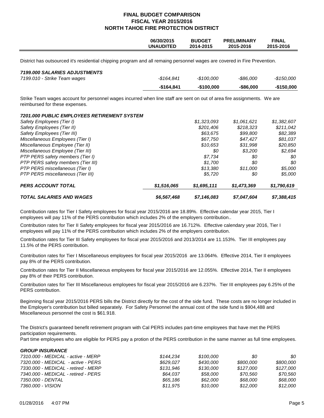|                                                                                                                                                           | 06/30/2015<br><b>UNAUDITED</b> | <b>BUDGET</b><br>2014-2015 | <b>PRELIMINARY</b><br>2015-2016 | <b>FINAL</b><br>2015-2016 |
|-----------------------------------------------------------------------------------------------------------------------------------------------------------|--------------------------------|----------------------------|---------------------------------|---------------------------|
| District has outsourced it's residential chipping program and all remaing personnel wages are covered in Fire Prevention.                                 |                                |                            |                                 |                           |
| 7199.000 SALARIES ADJUSTMENTS                                                                                                                             |                                |                            |                                 |                           |
| 7199.010 - Strike Team wages                                                                                                                              | $-$164.841$                    | $-$100,000$                | $-$ \$86,000                    | -\$150,000                |
|                                                                                                                                                           | -\$164,841                     | $-$100,000$                | -\$86,000                       | $-$150,000$               |
| Strike Team wages account for personnel wages incurred when line staff are sent on out of area fire assignments. We are<br>reimbursed for these expenses. |                                |                            |                                 |                           |
| <b>7201.000 PUBLIC EMPLOYEES RETIREMENT SYSTEM</b>                                                                                                        |                                |                            |                                 |                           |
| Safety Employees (Tier I)                                                                                                                                 |                                | \$1,323,093                | \$1,061,621                     | \$1,382,607               |
| Safety Employees (Tier II)                                                                                                                                |                                | \$201,406                  | \$218,323                       | \$211,042                 |
| Safety Employees (Tier III)                                                                                                                               |                                | \$63,675                   | \$99,800                        | \$82,389                  |
| Miscellaneous Employees (Tier I)                                                                                                                          |                                | \$67,750                   | \$47,427                        | \$81,037                  |
| Miscellaneous Employee (Tier II)                                                                                                                          |                                | \$10,653                   | \$31,998                        | \$20,850                  |
| Miscellaneous Employee (Tier III)                                                                                                                         |                                | \$0                        | \$3,200                         | \$2,694                   |
| PTP PERS safety members (Tier I)                                                                                                                          |                                | \$7,734                    | 80                              | \$0                       |
| PTP PERS safety members (Tier III)                                                                                                                        |                                | \$1,700                    | \$0                             | \$0                       |
| PTP PERS miscellaneous (Tier I)                                                                                                                           |                                | \$13,380                   | \$11,000                        | \$5,000                   |
| PTP PERS miscellaneous (Tier III)                                                                                                                         |                                | \$5,720                    | 80                              | \$5,000                   |
| <b>PERS ACCOUNT TOTAL</b>                                                                                                                                 | \$1,516,065                    | \$1,695,111                | \$1,473,369                     | \$1,790,619               |
| <b>TOTAL SALARIES AND WAGES</b>                                                                                                                           | \$6,567,468                    | \$7,146,083                | \$7,047,604                     | \$7,388,415               |

Contribution rates for Tier I Safety employees for fiscal year 2015/2016 are 18.89%. Effective calendar year 2015, Tier I employees will pay 11% of the PERS contribution which includes 2% of the employers contribution..

Contribution rates for Tier II Safety employees for fiscal year 2015/2016 are 16.712%. Effective calendary year 2016, Tier I employees will pay 11% of the PERS contribution which includes 2% of the employers contribution.

Contribution rates for Tier III Safety employees for fiscal year 2015/2016 and 2013/2014 are 11.153%. Tier III employees pay 11.5% of the PERS contribution.

Contribution rates for Tier I Miscellaneous employees for fiscal year 2015/2016 are 13.064%. Effective 2014, Tier II employees pay 8% of the PERS contribution.

Contribution rates for Tier II Miscellaneous employees for fiscal year 2015/2016 are 12.055%. Effective 2014, Tier II employees pay 8% of their PERS contribution.

Contribution rates for Tier III Miscellaneous employees for fiscal year 2015/2016 are 6.237%. Tier III employees pay 6.25% of the PERS contribution.

Beginning fiscal year 2015/2016 PERS bills the District directly for the cost of the side fund. These costs are no longer included in the Employer's contribution but billed separately. For Safety Personnel the annual cost of the side fund is \$904,488 and Miscellaneous personnel the cost is \$61.918.

The District's guaranteed benefit retirement program with Cal PERS includes part-time employees that have met the PERS participation requirements.

Part time employees who are eligible for PERS pay a protion of the PERS contribution in the same manner as full time employees.

| 80        |
|-----------|
| \$800.000 |
| \$127.000 |
| \$70.560  |
| \$68,000  |
| \$12,000  |
|           |

*GROUP INSURANCE*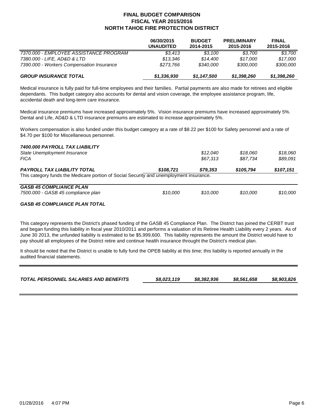|                                           | 06/30/2015<br><b>UNAUDITED</b> | <b>BUDGET</b><br>2014-2015 | <b>PRELIMINARY</b><br>2015-2016 | <b>FINAL</b><br>2015-2016 |
|-------------------------------------------|--------------------------------|----------------------------|---------------------------------|---------------------------|
| 7370.000 - EMPLOYEE ASSISTANCE PROGRAM    | \$3.413                        | \$3.100                    | \$3.700                         | \$3,700                   |
| 7380.000 - LIFE, AD&D & LTD               | \$13.346                       | \$14,400                   | \$17.000                        | \$17,000                  |
| 7390.000 - Workers Compensation Insurance | \$273.766                      | \$340.000                  | \$300,000                       | \$300,000                 |
| <b>GROUP INSURANCE TOTAL</b>              | \$1,336,930                    | \$1,147,500                | \$1,398,260                     | \$1,398,260               |

Medical insurance is fully paid for full-time employees and their families. Partial payments are also made for retirees and eligible dependants. This budget category also accounts for dental and vision coverage, the employee assistance program, life, accidental death and long-term care insurance.

Medical insurance premiums have increased approximately 5%. Vision insurance premiums have increased approximately 5%. Dental and Life, AD&D & LTD insurance premiums are estimated to increase approximately 5%.

Workers compensation is also funded under this budget category at a rate of \$8.22 per \$100 for Safety personnel and a rate of \$4.70 per \$100 for Miscellaneous personnel.

| 7400.000 PAYROLL TAX LIABILITY<br>State Unemployment Insurance<br><b>FICA</b>                                                 |           | \$12.040<br>\$67,313 | \$18.060<br>\$87.734 | \$18,060<br>\$89,091 |
|-------------------------------------------------------------------------------------------------------------------------------|-----------|----------------------|----------------------|----------------------|
| <b>PAYROLL TAX LIABILITY TOTAL</b><br>This category funds the Medicare portion of Social Security and unemployment insurance. | \$108,721 | \$79.353             | \$105,794            | \$107,151            |
| <b>GASB 45 COMPLIANCE PLAN</b><br>7500.000 - GASB 45 compliance plan                                                          | \$10,000  | \$10.000             | \$10.000             | \$10.000             |
|                                                                                                                               |           |                      |                      |                      |

#### *GASB 45 COMPLIANCE PLAN TOTAL*

This category represents the District's phased funding of the GASB 45 Compliance Plan. The District has joined the CERBT trust and began funding this liability in fiscal year 2010/2011 and performs a valuation of its Retiree Health Liability every 2 years. As of June 30 2013, the unfunded liability is estimated to be \$5,999,600. This liability represents the amount the District would have to pay should all employees of the District retire and continue health insurance throught the District's medical plan.

It should be noted that the District is unable to fully fund the OPEB liability at this time; this liability is reported annually in the audited financial statements.

| TOTAL PERSONNEL SALARIES AND BENEFITS | \$8,023,119 | \$8,382,936 | \$8.561.658 | \$8,903,826 |
|---------------------------------------|-------------|-------------|-------------|-------------|
|                                       |             |             |             |             |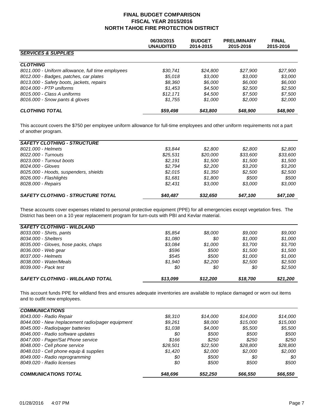|                                                   | 06/30/2015<br><b>UNAUDITED</b> | <b>BUDGET</b><br>2014-2015 | <b>PRELIMINARY</b><br>2015-2016 | <b>FINAL</b><br>2015-2016 |
|---------------------------------------------------|--------------------------------|----------------------------|---------------------------------|---------------------------|
| <b>SERVICES &amp; SUPPLIES</b>                    |                                |                            |                                 |                           |
| <b>CLOTHING</b>                                   |                                |                            |                                 |                           |
| 8011.000 - Uniform allowance, full time employees | \$30,741                       | \$24,800                   | \$27,900                        | \$27,900                  |
| 8012.000 - Badges, patches, car plates            | \$5,018                        | \$3.000                    | \$3.000                         | \$3.000                   |
| 8013.000 - Safety boots, jackets, repairs         | \$8.360                        | \$6,000                    | \$6.000                         | \$6,000                   |
| 8014.000 - PTP uniforms                           | \$1.453                        | \$4,500                    | \$2,500                         | \$2,500                   |
| 8015.000 - Class A uniforms                       | \$12.171                       | \$4,500                    | \$7.500                         | \$7,500                   |
| 8016.000 - Snow pants & gloves                    | \$1,755                        | \$1,000                    | \$2,000                         | \$2,000                   |
| <b>CLOTHING TOTAL</b>                             | \$59,498                       | \$43,800                   | \$48,900                        | \$48,900                  |

This account covers the \$750 per employee uniform allowance for full-time employees and other uniform requirements not a part of another program.

| <b>SAFETY CLOTHING - STRUCTURE</b>       |          |          |          |          |
|------------------------------------------|----------|----------|----------|----------|
| 8021.000 - Helmets                       | \$3.844  | \$2.800  | \$2.800  | \$2.800  |
| 8022.000 - Turnouts                      | \$25,531 | \$20,000 | \$33,600 | \$33,600 |
| 8023.000 - Turnout boots                 | \$2.191  | \$1.500  | \$1.500  | \$1.500  |
| 8024.000 - Gloves                        | \$2.794  | \$2.200  | \$3.200  | \$3.200  |
| 8025.000 - Hoods, suspenders, shields    | \$2.015  | \$1,350  | \$2.500  | \$2,500  |
| 8026.000 - Flashlights                   | \$1.681  | \$1,800  | \$500    | \$500    |
| 8028.000 - Repairs                       | \$2.431  | \$3,000  | \$3.000  | \$3,000  |
| <b>SAFETY CLOTHING - STRUCTURE TOTAL</b> | \$40.487 | \$32,650 | \$47,100 | \$47.100 |

These accounts cover expenses related to personal protective equipment (PPE) for all emergencies except vegetation fires. The District has been on a 10 year replacement program for turn-outs with PBI and Kevlar material.

| <b>SAFETY CLOTHING - WILDLAND</b>       |          |          |          |          |
|-----------------------------------------|----------|----------|----------|----------|
| 8033.000 - Shirts, pants                | \$5.854  | \$8,000  | \$9.000  | \$9.000  |
| 8034.000 - Shelters                     | \$1.080  | 80       | \$1,000  | \$1.000  |
| 8035.000 - Gloves, hose packs, chaps    | \$3.084  | \$1,000  | \$3,700  | \$3,700  |
| 8036.000 - Web gear                     | \$596    | \$500    | \$1.500  | \$1.500  |
| 8037.000 - Helmets                      | \$545    | \$500    | \$1.000  | \$1,000  |
| 8038.000 - Water/Meals                  | \$1.940  | \$2.200  | \$2.500  | \$2,500  |
| 8039.000 - Pack test                    | 80       | 80       | 80       | \$2,500  |
| <b>SAFETY CLOTHING - WILDLAND TOTAL</b> | \$13,099 | \$12,200 | \$18,700 | \$21,200 |

This account funds PPE for wildland fires and ensures adequate inventories are available to replace damaged or worn out items and to outfit new employees.

| <b>COMMUNICATIONS</b>                             |          |          |          |          |
|---------------------------------------------------|----------|----------|----------|----------|
| 8043.000 - Radio Repair                           | \$8.310  | \$14.000 | \$14.000 | \$14,000 |
| 8044.000 - New /replacement radio/pager equipment | \$9.261  | \$8,000  | \$15,000 | \$15,000 |
| 8045.000 - Radio/pager batteries                  | \$1,038  | \$4.000  | \$5.500  | \$5,500  |
| 8046.000 - Radio software updates                 | 80       | \$500    | \$500    | \$500    |
| 8047.000 - Pager/Sat Phone service                | \$166    | \$250    | \$250    | \$250    |
| 8048.000 - Cell phone service                     | \$28.501 | \$22,500 | \$28.800 | \$28,800 |
| 8048.010 - Cell phone equip & supplies            | \$1.420  | \$2,000  | \$2.000  | \$2,000  |
| 8049.000 - Radio reprogramming                    | 80       | \$500    | 80       | 80       |
| 8049.020 - Radio licenses                         | \$0      | \$500    | \$500    | \$500    |
| <b>COMMUNICATIONS TOTAL</b>                       | \$48,696 | \$52,250 | \$66,550 | \$66,550 |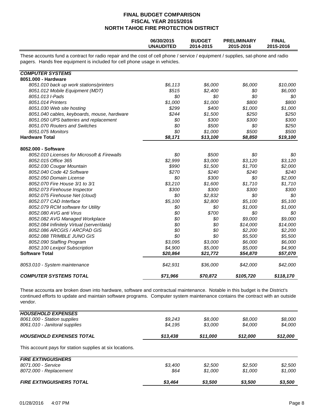|                                                                                                                                                                                                                | 06/30/2015<br><b>UNAUDITED</b> | <b>BUDGET</b><br>2014-2015 | <b>PRELIMINARY</b><br>2015-2016 | <b>FINAL</b><br>2015-2016 |
|----------------------------------------------------------------------------------------------------------------------------------------------------------------------------------------------------------------|--------------------------------|----------------------------|---------------------------------|---------------------------|
| These accounts fund a contract for radio repair and the cost of cell phone / service / equipment / supplies, sat-phone and radio<br>pagers. Hands free equipment is included for cell phone usage in vehicles. |                                |                            |                                 |                           |
| <b>COMPUTER SYSTEMS</b>                                                                                                                                                                                        |                                |                            |                                 |                           |
| 8051.000 - Hardware                                                                                                                                                                                            |                                |                            |                                 |                           |
| 8051.010 back up work stations/printers                                                                                                                                                                        | \$6,113                        | \$6,000                    | \$6,000                         | \$10,000                  |
| 8051.012 Mobile Equipment (MDT)                                                                                                                                                                                | \$515                          | \$2,400                    | \$0                             | \$6,000                   |
| 8051.013 I-Pads                                                                                                                                                                                                | \$0                            | \$0                        | \$0                             | \$0                       |
| 8051.014 Printers                                                                                                                                                                                              | \$1,000                        | \$1,000                    | \$800                           | \$800                     |
| 8051.030 Web site hosting                                                                                                                                                                                      | \$299                          | \$400                      | \$1,000                         | \$1,000                   |
| 8051.040 cables, keyboards, mouse, hardware                                                                                                                                                                    | \$244                          | \$1,500                    | \$250                           | \$250                     |
| 8051.050 UPS batteries and replacement                                                                                                                                                                         | \$0                            | \$300                      | \$300                           | \$300                     |
| 8051.070 Routers and Switches                                                                                                                                                                                  | \$0                            | \$500                      | \$0                             | \$250                     |
| 8051.075 Monitors                                                                                                                                                                                              | \$0                            | \$1,000                    | \$500                           | \$500                     |
| <b>Hardware Total</b>                                                                                                                                                                                          | \$8,171                        | \$13,100                   | \$8,850                         | \$19,100                  |
| 8052.000 - Software                                                                                                                                                                                            |                                |                            |                                 |                           |
| 8052.010 Licenses for Microsoft & Firewalls                                                                                                                                                                    | \$0                            | \$500                      | \$0                             | \$0                       |
| 8052.015 Office 365                                                                                                                                                                                            | \$2,999                        | \$3,000                    | \$3,120                         | \$3,120                   |
| 8052.030 Cougar Mountain                                                                                                                                                                                       | \$990                          | \$1,500                    | \$1,700                         | \$2,000                   |
| 8052.040 Code 42 Software                                                                                                                                                                                      | \$270                          | \$240                      | \$240                           | \$240                     |
| 8052.050 Domain License                                                                                                                                                                                        | \$0                            | \$300                      | \$0                             | \$2,000                   |
| 8052.070 Fire House 3/1 to 3/1                                                                                                                                                                                 | \$3,210                        | \$1,600                    | \$1,710                         | \$1,710                   |
| 8052.073 Firehouse Inspector                                                                                                                                                                                   | \$300                          | \$300                      | \$300                           | \$300                     |
| 8052.075 Firehouse Net (cloud)                                                                                                                                                                                 | \$0                            | \$2,832                    | \$0                             | \$0                       |
| 8052.077 CAD Interface                                                                                                                                                                                         | \$5,100                        | \$2,800                    | \$5,100                         | \$5,100                   |
| 8052.079 RCM software for Utility                                                                                                                                                                              | \$0                            | \$0                        | \$1,000                         | \$1,000                   |
| 8052.080 AVG anti Virus                                                                                                                                                                                        | \$0                            | \$700                      | \$0                             | \$0                       |
| 8052.082 AVG Managed Workplace                                                                                                                                                                                 | \$0                            | \$0                        | \$9,000                         | \$9,000                   |
| 8052.084 Infinitely Virtual (server/data)                                                                                                                                                                      | \$0                            | \$0                        | \$14,000                        | \$14,000                  |
| 8052.086 ARCGIS / ARCPAD GIS                                                                                                                                                                                   | \$0                            | \$0                        | \$2,200                         | \$2,200                   |
| 8052.088 TRIMBLE JUNO GIS                                                                                                                                                                                      | \$0                            | \$0                        | \$5,500                         | \$5,500                   |
| 8052.090 Staffing Program                                                                                                                                                                                      | \$3.095                        | \$3,000                    | \$6,000                         | \$6,000                   |
| 8052.100 Lexipol Subscription                                                                                                                                                                                  | \$4,900                        | \$5,000                    | \$5,000                         | \$4,900                   |
| <b>Software Total</b>                                                                                                                                                                                          | \$20,864                       | \$21,772                   | \$54,870                        | \$57,070                  |
| 8053.010 - System maintenance                                                                                                                                                                                  | \$42,931                       | \$36,000                   | \$42,000                        | \$42,000                  |
| <b>COMPUTER SYSTEMS TOTAL</b>                                                                                                                                                                                  | \$71,966                       | \$70,872                   | \$105,720                       | \$118,170                 |

These accounta are broken down into hardware, software and contractual maintenance. Notable in this budget is the District's continued efforts to update and maintain software programs. Computer system maintenance contains the contract with an outside vendor.

| <b>HOUSEHOLD EXPENSES</b>                                        |          |          |          |                     |
|------------------------------------------------------------------|----------|----------|----------|---------------------|
| 8061.000 - Station supplies                                      | \$9,243  | \$8.000  | \$8,000  | \$8,000             |
| 8061.010 - Janitoral supplies<br><b>HOUSEHOLD EXPENSES TOTAL</b> | \$4,195  | \$3,000  | \$4,000  | \$4,000<br>\$12,000 |
|                                                                  | \$13,438 | \$11,000 | \$12,000 |                     |
| This account pays for station supplies at six locations.         |          |          |          |                     |
| <b>FIRE EXTINGUISHERS</b>                                        |          |          |          |                     |
| 8071.000 - Service                                               | \$3,400  | \$2,500  | \$2,500  | \$2,500             |
| 8072.000 - Replacement                                           | \$64     | \$1.000  | \$1.000  | \$1,000             |
| <b>FIRE EXTINGUISHERS TOTAL</b>                                  | \$3,464  | \$3,500  | \$3,500  | \$3,500             |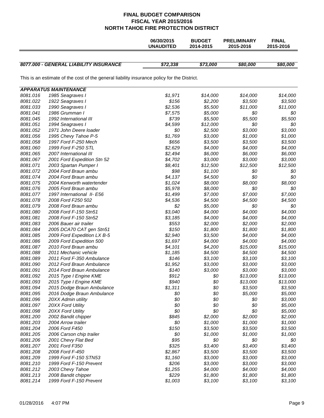|          |                                                                                             | 06/30/2015<br><b>UNAUDITED</b> | <b>BUDGET</b><br>2014-2015 | <b>PRELIMINARY</b><br>2015-2016 | <b>FINAL</b><br>2015-2016 |
|----------|---------------------------------------------------------------------------------------------|--------------------------------|----------------------------|---------------------------------|---------------------------|
|          | 8077.000 - GENERAL LIABILITY INSURANCE                                                      | \$72,338                       | \$73,000                   | \$80,000                        | \$80,000                  |
|          | This is an estimate of the cost of the general liability insurance policy for the District. |                                |                            |                                 |                           |
|          | <b>APPARATUS MAINTENANCE</b>                                                                |                                |                            |                                 |                           |
| 8081.016 | 1985 Seagraves I                                                                            | \$1,971                        | \$14,000                   | \$14,000                        | \$14,000                  |
| 8081.022 | 1922 Seagraves I                                                                            | \$156                          | \$2,200                    | \$3,500                         | \$3,500                   |
| 8081.033 | 1990 Seagraves I                                                                            | \$2,536                        | \$5,500                    | \$11,000                        | \$11,000                  |
| 8081.041 | 1986 Grumman I                                                                              | \$7,575                        | \$5,000                    | \$0                             | \$0                       |
| 8081.045 | 1992 International III                                                                      | \$739                          | \$5,500                    | \$5,500                         | \$5,500                   |
| 8081.051 | 1994 Seagraves I                                                                            | \$4,599                        | \$12,000                   | \$0                             | \$0                       |
| 8081.052 | 1971 John Deere loader                                                                      | \$0                            | \$2,500                    | \$3,000                         | \$3,000                   |
| 8081.056 | 1995 Chevy Tahoe P-5                                                                        | \$1,769                        | \$3,000                    | \$1,000                         | \$1,000                   |
| 8081.058 | 1997 Ford F-250 Mech                                                                        | \$656                          | \$3,500                    | \$3,500                         | \$3,500                   |
| 8081.060 | 1999 Ford F-250 STL                                                                         | \$2,629                        | \$4,000                    | \$4,000                         | \$4,000                   |
| 8081.065 | 2007 International III                                                                      | \$2,494                        | \$6,000                    | \$6,000                         | \$6,000                   |
| 8081.067 | 2001 Ford Expedition Stn 52                                                                 | \$4,702                        | \$3,000                    | \$3,000                         | \$3,000                   |
| 8081.071 | 2003 Spartan Pumper I                                                                       | \$8,401                        | \$12,500                   | \$12,500                        | \$12,500                  |
| 8081.072 | 2004 Ford Braun ambu                                                                        | \$98                           | \$1,100                    | \$0                             | \$0                       |
| 8081.074 | 2004 Ford Braun ambu                                                                        | \$4,137                        | \$4,500                    | \$0                             | \$0                       |
| 8081.075 | 2004 Kenworth watertender                                                                   | \$1,024                        | \$8,000                    | \$8,000                         | \$8,000                   |
| 8081.076 | 2005 Ford Braun ambu                                                                        | \$5,978                        | \$8,000                    | \$0                             | \$0                       |
| 8081.077 | 1997 International II- E56                                                                  | \$1,499                        | \$7,000                    | \$7,000                         | \$7,000                   |
| 8081.078 | 2008 Ford F250 502                                                                          | \$4,536                        | \$4,500                    | \$4,500                         | \$4,500                   |
| 8081.079 | 2008 Ford Braun ambu                                                                        | \$2                            | \$5,000                    | \$0                             | \$0                       |
| 8081.080 | 2008 Ford F-150 Stn51                                                                       | \$3,040                        | \$4,000                    | \$4,000                         | \$4,000                   |
| 8081.081 | 2008 Ford F-150 Stn52                                                                       | \$3,185                        | \$4,000                    | \$4,000                         | \$4,000                   |
| 8081.083 | 2006 Bauer air trailer                                                                      | \$553                          | \$2,000                    | \$2,000                         | \$2,000                   |
| 8081.084 | 2005 DCA70 CAT gen Stn51                                                                    | \$150                          | \$1,800                    | \$1,800                         | \$1,800                   |
| 8081.085 | 2009 Ford Expedition LX B-5                                                                 | \$2,940                        | \$3,500                    | \$4,000                         | \$4,000                   |
| 8081.086 | 2009 Ford Expedition 500                                                                    | \$1,697                        | \$4,000                    | \$4,000                         | \$4,000                   |
| 8081.087 | 2010 Ford Braun ambu                                                                        | \$4,101                        | \$4,200                    | \$15,000                        | \$15,000                  |
| 8081.088 | 2011 Mechanic vehicle                                                                       | \$1,185                        | \$4,500                    | \$4,500                         | \$4,500                   |
| 8081.089 | 2011 Ford F-350 Ambulance                                                                   | \$146                          | \$3,100                    | \$3,100                         | \$3,100                   |
| 8081.090 | 2012 Ford Braun Ambulance                                                                   | \$1,952                        | \$3,000                    | \$3,000                         | \$3,000                   |
| 8081.091 | 2014 Ford Braun Ambulance                                                                   | \$140                          | \$3,000                    | \$3,000                         | \$3,000                   |
| 8081.092 | 2015 Type I Engine KME                                                                      | \$912                          | \$0                        | \$13,000                        | \$13,000                  |
| 8081.093 | 2015 Type I Engine KME                                                                      | \$940                          | \$0                        | \$13,000                        | \$13,000                  |
| 8081.094 | 2015 Dodge Braun Ambulance                                                                  | \$1,311                        | \$0                        | \$3,500                         | \$3,500                   |
| 8081.095 | 2016 Dodge Braun Ambulance                                                                  | \$0                            | \$0                        | \$5,000                         | \$5,000                   |
| 8081.096 | 20XX Admin utility                                                                          | \$0                            | \$0                        | \$0                             | \$3,000                   |
| 8081.097 | 20XX Ford Utility                                                                           | \$0                            | \$0                        | \$0                             | \$5,000                   |
| 8081.098 | 20XX Ford Utility                                                                           | \$0                            | \$0                        | \$0                             | \$5,000                   |
| 8081.200 | 2002 Bandit chipper                                                                         | \$845                          | \$2,000                    | \$2,000                         | \$2,000                   |
| 8081.203 | 2004 Arrow trailer                                                                          | \$0                            | \$1,000                    | \$1,000                         | \$1,000                   |
| 8081.204 | 2006 Ford F450                                                                              | \$150                          | \$3,500                    | \$3,500                         | \$3,500                   |
| 8081.205 | 2006 Carson chip trailer                                                                    | \$0                            | \$1,000                    | \$1,000                         | \$1,000                   |
| 8081.206 | 2001 Chevy Flat Bed                                                                         | \$95                           | \$0                        | \$0                             | \$0                       |
| 8081.207 | 2001 Ford F350                                                                              | \$325                          | \$3,400                    | \$3,400                         | \$3,400                   |
| 8081.208 | 2008 Ford F-450                                                                             | \$2,867                        | \$3,500                    | \$3,500                         | \$3,500                   |
| 8081.209 | 1999 Ford F-150 STN53                                                                       | \$1,160                        | \$3,000                    | \$3,000                         | \$3,000                   |
| 8081.210 | 1999 Ford F-150 Prevent                                                                     | \$206                          | \$3,000                    | \$3,000                         | \$3,000                   |
| 8081.212 | 2003 Chevy Tahoe                                                                            | \$1,255                        | \$4,000                    | \$4,000                         | \$4,000                   |
| 8081.213 | 2008 Bandit chipper                                                                         | \$229                          | \$1,800                    | \$1,800                         | \$1,800                   |
| 8081.214 | 1999 Ford F-150 Prevent                                                                     | \$1,003                        | \$3,100                    | \$3,100                         | \$3,100                   |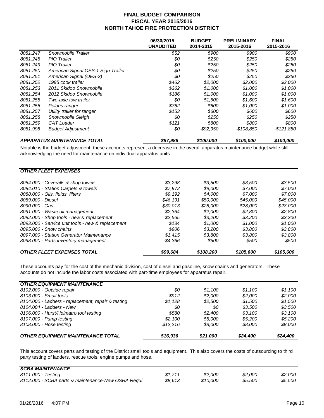|          |                                    | 06/30/2015<br><b>UNAUDITED</b> | <b>BUDGET</b><br>2014-2015 | <b>PRELIMINARY</b><br>2015-2016 | <b>FINAL</b><br>2015-2016 |
|----------|------------------------------------|--------------------------------|----------------------------|---------------------------------|---------------------------|
| 8081.247 | Snowmobile Trailer                 | \$52                           | \$900                      | \$900                           | \$900                     |
| 8081.248 | <b>PIO</b> Trailer                 | \$0                            | \$250                      | \$250                           | \$250                     |
| 8081.249 | <b>PIO</b> Trailer                 | \$0                            | \$250                      | \$250                           | \$250                     |
| 8081.250 | American Signal OES-1 Sign Trailer | \$0                            | \$250                      | \$250                           | \$250                     |
| 8081.251 | American Signal (OES-2)            | \$0                            | \$250                      | \$250                           | \$250                     |
| 8081.252 | 1985 cook trailer                  | \$462                          | \$2,000                    | \$2,000                         | \$2,000                   |
| 8081.253 | 2011 Skidoo Snowmobile             | \$362                          | \$1,000                    | \$1.000                         | \$1,000                   |
| 8081.254 | 2012 Skidoo Snowmobile             | \$186                          | \$1,000                    | \$1,000                         | \$1,000                   |
| 8081.255 | Two-axle tow trailer               | \$0                            | \$1,600                    | \$1,600                         | \$1,600                   |
| 8081.256 | Polaris ranger                     | \$762                          | \$600                      | \$1,000                         | \$1,000                   |
| 8081.257 | Utility trailer for ranger         | \$153                          | \$600                      | \$600                           | \$600                     |
| 8081.258 | Snowmobile Sleigh                  | \$0                            | \$250                      | \$250                           | \$250                     |
| 8081.259 | CAT Loader                         | \$121                          | \$800                      | \$800                           | \$800                     |
| 8081.998 | <b>Budget Adjustment</b>           | 80                             | -\$92,950                  | -\$108,850                      | -\$121,850                |
|          | <b>APPARATUS MAINTENANCE TOTAL</b> | \$87,986                       | \$100,000                  | \$100,000                       | \$100,000                 |

Notable is the budget adjustment, these accounts represent a decrease in the overall apparatus maintenance budget while still acknowledging the need for maintenance on individual apparatus units.

| <b>OTHER FLEET EXPENSES</b>                       |          |           |           |           |
|---------------------------------------------------|----------|-----------|-----------|-----------|
| 8084.000 - Coveralls & shop towels                | \$3.298  | \$3.500   | \$3.500   | \$3,500   |
| 8084.010 - Station Carpets & towels               | \$7.972  | \$9.000   | \$7.000   | \$7,000   |
| 8088.000 - Oils, fluids, filters                  | \$9.192  | \$4.000   | \$7.000   | \$7.000   |
| 8089.000 - Diesel                                 | \$46.191 | \$50,000  | \$45.000  | \$45,000  |
| 8090.000 - Gas                                    | \$30.013 | \$28,000  | \$28,000  | \$28,000  |
| 8091.000 - Waste oil management                   | \$2.364  | \$2,000   | \$2,800   | \$2,800   |
| 8092.000 - Shop tools - new & replacement         | \$2.565  | \$3.200   | \$3.200   | \$3,200   |
| 8093.000 - Service unit tools - new & replacement | \$134    | \$1.000   | \$1.000   | \$1,000   |
| 8095.000 - Snow chains                            | \$906    | \$3.200   | \$3.800   | \$3,800   |
| 8097.000 - Station Generator Maintenance          | \$1.415  | \$3.800   | \$3,800   | \$3,800   |
| 8098.000 - Parts inventory management             | -\$4.366 | \$500     | \$500     | \$500     |
| <b>OTHER FLEET EXPENSES TOTAL</b>                 | \$99,684 | \$108,200 | \$105,600 | \$105.600 |

These accounts pay for the cost of the mechanic division, cost of diesel and gasoline, snow chains and generators. These accounts do not include the labor costs associated with part-time employees for apparatus repair.

| <b>OTHER EQUIPMENT MAINTENANCE</b>                 |          |          |          |          |
|----------------------------------------------------|----------|----------|----------|----------|
| 8102.000 - Outside repair                          | 80       | \$1.100  | \$1.100  | \$1.100  |
| 8103,000 - Small tools                             | \$912    | \$2,000  | \$2,000  | \$2.000  |
| 8104.000 - Ladders - replacement, repair & testing | \$1,128  | \$2,500  | \$1.500  | \$1.500  |
| 8104.004 - Ladders - New                           | 80       | 80       | \$3.500  | \$3.500  |
| 8106.000 - Hurst/Holmatro tool testing             | \$580    | \$2,400  | \$3.100  | \$3.100  |
| 8107.000 - Pump testing                            | \$2.100  | \$5,000  | \$5.200  | \$5.200  |
| 8108.000 - Hose testing                            | \$12.216 | \$8.000  | \$8.000  | \$8,000  |
| <b>OTHER EQUIPMENT MAINTENANCE TOTAL</b>           | \$16,936 | \$21,000 | \$24,400 | \$24,400 |

This account covers parts and testing of the District small tools and equipment. This also covers the costs of outsourcing to third party testing of ladders, rescue tools, engine pumps and hose.

| <b>SCBA MAINTENANCE</b>                            |         |          |         |         |
|----------------------------------------------------|---------|----------|---------|---------|
| 8111.000 - Testing                                 | \$1.711 | \$2,000  | \$2,000 | \$2.000 |
| 8112.000 - SCBA parts & maintenance-New OSHA Requi | \$8.613 | \$10,000 | \$5.500 | \$5,500 |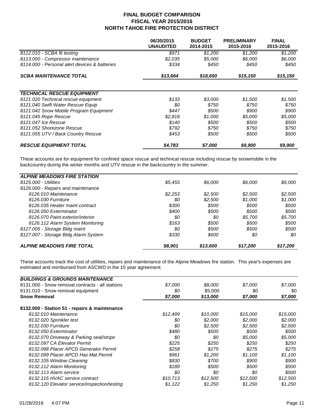|                                               | 06/30/2015<br><b>UNAUDITED</b> | <b>BUDGET</b><br>2014-2015 | <b>PRELIMINARY</b><br>2015-2016 | <b>FINAL</b><br>2015-2016 |
|-----------------------------------------------|--------------------------------|----------------------------|---------------------------------|---------------------------|
| 8112.010 - SCBA fit testing                   | \$971                          | \$1,200                    | \$1,200                         | \$1,200                   |
| 8113.000 - Compressor maintenance             | \$2,035                        | \$5,000                    | \$6,000                         | \$6,000                   |
| 8114.000 - Personal alert devices & batteries | \$334                          | \$450                      | \$450                           | \$450                     |
| <b>SCBA MAINTENANCE TOTAL</b>                 | \$13,664                       | \$18,650                   | \$15,150                        | \$15,150                  |
|                                               |                                |                            |                                 |                           |
| <b>TECHNICAL RESCUE EQUIPMENT</b>             |                                |                            |                                 |                           |
| 8121.020 Technical rescue equipment           | \$133                          | \$3,000                    | \$1,500                         | \$1,500                   |
| 8121.040 Swift Water Rescue Equip             | \$0                            | \$750                      | \$750                           | \$750                     |
| 8121.042 Snow Mobile Program Equipment        | \$447                          | \$500                      | \$900                           | \$900                     |
| 8121.045 Rope Rescue                          | \$2,818                        | \$1,000                    | \$5,000                         | \$5,000                   |
| 8121.047 Ice Rescue                           | \$140                          | \$500                      | \$500                           | \$500                     |
| 8121.052 Shorezone Rescue                     | \$792                          | \$750                      | \$750                           | \$750                     |
| 8121.055 UTV / Back Country Rescue            | \$453                          | \$500                      | \$500                           | \$500                     |
| <b>RESCUE EQUIPMENT TOTAL</b>                 | \$4,783                        | \$7,000                    | \$9,900                         | \$9,900                   |

These accounts are for equipment for confined space rescue and technical rescue including rescue by snowmobile in the backcountry during the winter months and UTV rescue in the backcountry in the summer.

| <b>ALPINE MEADOWS FIRE STATION</b>   |         |          |          |          |
|--------------------------------------|---------|----------|----------|----------|
| 8125,000 - Utilities                 | \$5.455 | \$6.000  | \$6.000  | \$6.000  |
| 8126.000 - Repairs and maintenance   |         |          |          |          |
| 8126.010 Maintenance                 | \$2,253 | \$2,500  | \$2,500  | \$2,500  |
| 8126.030 Furniture                   | \$0     | \$2,500  | \$1,000  | \$1,000  |
| 8126.035 Heater maint contract       | \$300   | \$500    | \$500    | \$500    |
| 8126.050 Exterminator                | \$400   | \$500    | \$500    | \$500    |
| 8126.070 Paint exterior/interior     | 80      | \$0      | \$5.700  | \$5,700  |
| 8126.112 Alarm System Monitoring     | \$163   | \$500    | \$500    | \$500    |
| 8127.005 - Storage Bldg maint        | 80      | \$500    | \$500    | \$500    |
| 8127.007 - Storage Bldg Alarm System | \$330   | \$600    | \$0      | 80       |
| <b>ALPINE MEADOWS FIRE TOTAL</b>     | \$8,901 | \$13,600 | \$17,200 | \$17,200 |

These accounts track the cost of utilities, repairs and maintenance of the Alpine Meadows fire station. This year's expenses are estimated and reimbursed from ASCWD in the 15 year agreement.

| <b>BUILDINGS &amp; GROUNDS MAINTENANCE</b>       |          |          |          |          |
|--------------------------------------------------|----------|----------|----------|----------|
| 8131,000 - Snow removal contracts - all stations | \$7,000  | \$8,000  | \$7,000  | \$7,000  |
| 8131.010 - Snow removal equipment                | \$0      | \$5,000  | \$0      | \$0      |
| <b>Snow Removal</b>                              | \$7,000  | \$13,000 | \$7,000  | \$7,000  |
| 8132.000 - Station 51 - repairs & maintenance    |          |          |          |          |
| 8132.010 Maintenance                             | \$12,499 | \$10,000 | \$15,000 | \$15,000 |
| 8132.020 Sprinkler test                          | \$0      | \$2,000  | \$2,000  | \$2,000  |
| 8132.030 Furniture                               | \$0      | \$2,500  | \$2,500  | \$2,500  |
| 8132.050 Exterminator                            | \$480    | \$500    | \$500    | \$500    |
| 8132.070 Driveway & Parking seal/stripe          | \$0      | \$0      | \$5,000  | \$5,000  |
| 8132.097 CA Elevator Permit                      | \$225    | \$250    | \$250    | \$250    |
| 8132.098 Placer APCD Generator Permit            | \$258    | \$275    | \$275    | \$275    |
| 8132.099 Placer APCD Haz Mat Permit              | \$961    | \$1,200  | \$1,100  | \$1,100  |
| 8132.105 Window Cleaning                         | \$830    | \$700    | \$900    | \$900    |
| 8132.112 Alarm Monitoring                        | \$189    | \$500    | \$500    | \$500    |
| 8132.113 Alarm service                           | \$0      | \$0      | \$0      | \$500    |
| 8132.115 HVAC service contract                   | \$10,713 | \$12,500 | \$12,500 | \$12,500 |
| 8132.120 Elevator service/inspection/testing     | \$1,122  | \$1.250  | \$1.250  | \$1,250  |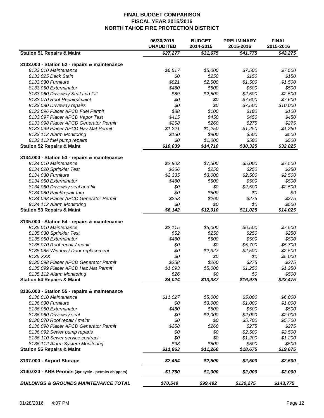|                                                       | 06/30/2015<br><b>UNAUDITED</b> | <b>BUDGET</b><br>2014-2015 | <b>PRELIMINARY</b><br>2015-2016 | <b>FINAL</b><br>2015-2016 |
|-------------------------------------------------------|--------------------------------|----------------------------|---------------------------------|---------------------------|
| <b>Station 51 Repairs &amp; Maint</b>                 | \$27,277                       | \$31,675                   | \$41,775                        | \$42,275                  |
| 8133.000 - Station 52 - repairs & maintenance         |                                |                            |                                 |                           |
| 8133.010 Maintenance                                  | \$6,517                        | \$5,000                    | \$7,500                         | \$7,500                   |
| 8133.025 Deck Stain                                   | \$0                            | \$250                      | \$150                           | \$150                     |
| 8133.030 Furniture                                    | \$821                          | \$2,500                    | \$1,500                         | \$1,500                   |
| 8133.050 Exterminator                                 | \$480                          | \$500                      | \$500                           | \$500                     |
| 8133.060 Driveway Seal and Fill                       | \$89                           | \$2,500                    | \$2,500                         | \$2,500                   |
| 8133.070 Roof Repairs/maint                           | \$0                            | \$0                        | \$7,600                         | \$7,600                   |
| 8133.080 Driveway repairs                             | \$0                            | \$0                        | \$7,500                         | \$10,000                  |
| 8133.096 Placer APCD Fuel Permit                      | \$88                           | \$100                      | \$100                           | \$100                     |
| 8133.097 Placer APCD Vapor Test                       | \$415                          | \$450                      | \$450                           | \$450                     |
| 8133.098 Placer APCD Generator Permit                 | \$258                          | \$260                      | \$275                           | \$275                     |
|                                                       |                                |                            |                                 |                           |
| 8133.099 Placer APCD Haz Mat Permit                   | \$1,221                        | \$1,250                    | \$1,250                         | \$1,250                   |
| 8133.112 Alarm Monitoring                             | \$150                          | \$900                      | \$500                           | \$500                     |
| 8133.113 fuel pump repairs                            | \$0                            | \$1,000                    | \$500                           | \$500                     |
| <b>Station 52 Repairs &amp; Maint</b>                 | \$10,039                       | \$14,710                   | \$30,325                        | \$32,825                  |
| 8134.000 - Station 53 - repairs & maintenance         |                                |                            |                                 |                           |
| 8134.010 Maintenance                                  | \$2,803                        | \$7,500                    | \$5,000                         | \$7,500                   |
| 8134.020 Sprinkler Test                               | \$266                          | \$250                      | \$250                           | \$250                     |
| 8134.030 Furniture                                    | \$2,335                        | \$3,000                    | \$2,500                         | \$2,500                   |
| 8134.050 Exterminator                                 | \$480                          | \$500                      | \$500                           | \$500                     |
| 8134.060 Driveway seal and fill                       | \$0                            | \$0                        | \$2,500                         | \$2,500                   |
| 8134.080 Paint/repair trim                            | \$0                            | \$500                      | \$0                             | \$0                       |
| 8134.098 Placer APCD Generator Permit                 | \$258                          | \$260                      | \$275                           | \$275                     |
| 8134.112 Alarm Monitoring                             | \$0                            | \$0                        | \$0                             | \$500                     |
| <b>Station 53 Repairs &amp; Maint</b>                 | \$6,142                        | \$12,010                   | \$11,025                        | \$14,025                  |
|                                                       |                                |                            |                                 |                           |
| 8135.000 - Station 54 - repairs & maintenance         |                                |                            |                                 |                           |
| 8135.010 Maintenance                                  | \$2,115                        | \$5,000                    | \$6,500                         | \$7,500                   |
| 8135.030 Sprinkler Test                               | \$52                           | \$250                      | \$250                           | \$250                     |
| 8135.050 Exterminator                                 | \$480                          | \$500                      | \$500                           | \$500                     |
| 8135.070 Roof repair / manit                          | \$0                            | \$0                        | \$5,700                         | \$5,700                   |
| 8135.085 Window / Door replacement                    | \$0                            | \$2,327                    | \$2,500                         | \$2,500                   |
| 8135.XXX                                              | \$0                            | \$0                        | \$0                             | \$5,000                   |
| 8135.098 Placer APCD Generator Permit                 | \$258                          | \$260                      | \$275                           | \$275                     |
| 8135.099 Placer APCD Haz Mat Permit                   | \$1,093                        | \$5,000                    | \$1,250                         | \$1,250                   |
| 8135.112 Alarm Monitoring                             | \$26                           | \$0                        | \$0                             | \$500                     |
| <b>Station 54 Repairs &amp; Maint</b>                 | \$4,024                        | \$13,337                   | \$16,975                        | \$23,475                  |
| 8136.000 - Station 55 - repairs & maintenance         |                                |                            |                                 |                           |
| 8136.010 Maintenance                                  | \$11,027                       | \$5,000                    | \$5,000                         | \$6,000                   |
| 8136.030 Furniture                                    | \$0                            | \$3,000                    | \$1,000                         | \$1,000                   |
| 8136.050 Exterminator                                 | \$480                          | \$500                      | \$500                           | \$500                     |
| 8136.060 Driveway seal                                | \$0                            | \$2,000                    | \$2,000                         | \$2,000                   |
| 8136.070 Roof repair / maint                          | \$0                            | \$0                        | \$5,700                         | \$5,700                   |
| 8136.098 Placer APCD Generator Permit                 | \$258                          | \$260                      | \$275                           | \$275                     |
| 8136.092 Sewer pump reparis                           | \$0                            | \$0                        | \$2,500                         | \$2,500                   |
| 8136.110 Sewer service contract                       | \$0                            | \$0                        | \$1,200                         | \$1,200                   |
| 8136.112 Alarm System Monitoring                      | \$98                           | \$500                      | \$500                           | \$500                     |
| <b>Station 55 Repairs &amp; Maint</b>                 | \$11,863                       | \$11,260                   | \$18,675                        | \$19,675                  |
|                                                       |                                |                            |                                 |                           |
| 8137.000 - Airport Storage                            | \$2,454                        | \$2,500                    | \$2,500                         | \$2,500                   |
| 8140.020 - ARB Permits (3yr cycle - permits chippers) | \$1,750                        | \$1,000                    | \$2,000                         | \$2,000                   |
| <b>BUILDINGS &amp; GROUNDS MAINTENANCE TOTAL</b>      | \$70,549                       | \$99,492                   | \$130,275                       | \$143,775                 |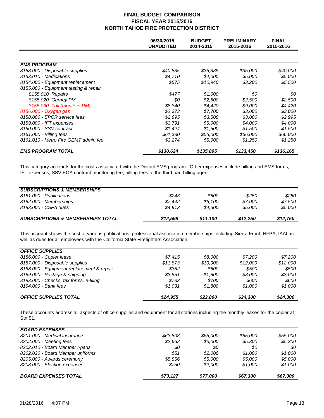|                                       | 06/30/2015<br><b>UNAUDITED</b> | <b>BUDGET</b><br>2014-2015 | <b>PRELIMINARY</b><br>2015-2016 | <b>FINAL</b><br>2015-2016 |
|---------------------------------------|--------------------------------|----------------------------|---------------------------------|---------------------------|
|                                       |                                |                            |                                 |                           |
| <b>EMS PROGRAM</b>                    |                                |                            |                                 |                           |
| 8153.000 - Disposable supplies        | \$40,835                       | \$35,335                   | \$35,000                        | \$40,000                  |
| 8153.010 - Medications                | \$4,710                        | \$4,000                    | \$5,000                         | \$5,000                   |
| 8154.000 - Equipment replacement      | \$575                          | \$10,940                   | \$3,200                         | \$5,500                   |
| 8155.000 - Equipment testing & repair |                                |                            |                                 |                           |
| 8155.010 Repairs                      | \$477                          | \$1,000                    | 80                              | \$0                       |
| 8155.020 Gurney PM                    | \$0                            | \$2,500                    | \$2,500                         | \$2,500                   |
| 8155.030 Zoll (monitors PM)           | \$8,840                        | \$4,420                    | \$9,000                         | \$4,420                   |
| 8156.000 - Oxygen gas                 | \$2.373                        | \$7.700                    | \$3.000                         | \$3,000                   |
| 8158.000 - EPCR service fees          | \$2,995                        | \$3,500                    | \$3,000                         | \$2,995                   |
| 8159.000 - IFT expenses               | \$3,791                        | \$5,000                    | \$4,000                         | \$4,000                   |
| 8160.000 - SSV contract               | \$1,424                        | \$1,500                    | \$1,500                         | \$1,500                   |
| 8161.000 - Billing fees               | \$61,330                       | \$55,000                   | \$66,000                        | \$66,000                  |
| 8161.010 - Metro Fire GEMT admin fee  | \$3,274                        | \$5,000                    | \$1,250                         | \$1,250                   |
| <b>EMS PROGRAM TOTAL</b>              | \$130,624                      | \$135,895                  | \$133,450                       | \$136,165                 |

This category accounts for the costs associated with the District EMS program. Other expenses include billing and EMS forms, IFT expenses, SSV EOA contract monitoring fee, billing fees to the third part billing agent.

|                                        |         |         | \$12,250 |         |
|----------------------------------------|---------|---------|----------|---------|
| 8183,000 - CSFA dues                   | \$4.913 | \$4.500 | \$5.000  | \$5,000 |
| 8182.000 - Memberships                 | \$7.442 | \$6.100 | \$7.000  | \$7.500 |
| 8181,000 - Publications                | \$243   | \$500   | \$250    | \$250   |
| <b>SUBSCRIPTIONS &amp; MEMBERSHIPS</b> |         |         |          |         |

This account shows the cost of various publications, professional association memberships including Sierra Front, NFPA, IAAI as well as dues for all employees with the California State Firefighters Association.

| <b>OFFICE SUPPLIES</b>                    |          |          |          |          |
|-------------------------------------------|----------|----------|----------|----------|
| 8186.000 - Copier lease                   | \$7.415  | \$8.000  | \$7.200  | \$7.200  |
| 8187.000 - Disposable supplies            | \$11.873 | \$10,000 | \$12,000 | \$12,000 |
| 8188.000 - Equipment replacement & repair | \$352    | \$500    | \$500    | \$500    |
| 8189.000 - Postage & shipping             | \$3.551  | \$1.800  | \$3.000  | \$3.000  |
| 8193.000 - Checks, tax forms, e-filing    | \$733    | \$700    | \$600    | \$600    |
| 8194.000 - Bank fees                      | \$1.031  | \$1.800  | \$1.000  | \$1.000  |
| <b>OFFICE SUPPLIES TOTAL</b>              | \$24.955 | \$22,800 | \$24,300 | \$24,300 |

These accounts address all aspects of office supplies and equipment for all stations including the monthly leases for the copier at Stn 51.

| <b>BOARD EXPENSES</b>            |          |          |          |          |
|----------------------------------|----------|----------|----------|----------|
| 8201.000 - Medical insurance     | \$63.808 | \$65,000 | \$55.000 | \$55,000 |
| 8202.000 - Meeting fees          | \$2,662  | \$3,000  | \$5,300  | \$5,300  |
| 8202.010 - Board Member I-pads   | \$0      | 80       | 80       | 80       |
| 8202.020 - Board Member uniforms | \$51     | \$2,000  | \$1.000  | \$1.000  |
| 8205.000 - Awards ceremony       | \$5.856  | \$5,000  | \$5,000  | \$5,000  |
| 8208.000 - Election expenses     | \$750    | \$2,000  | \$1,000  | \$1,000  |
| <b>BOARD EXPENSES TOTAL</b>      | \$73.127 | \$77,000 | \$67,300 | \$67,300 |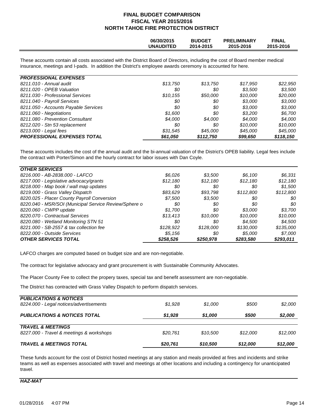|--|

These accounts contain all costs associated with the District Board of Directors, including the cost of Board member medical insurance, meetings and I-pads. In addition the District's employee awards ceremony is accounted for here.

| <b>PROFESSIONAL EXPENSES</b>         |          |           |          |           |
|--------------------------------------|----------|-----------|----------|-----------|
| 8211.010 - Annual audit              | \$13.750 | \$13,750  | \$17,950 | \$22,950  |
| 8211.020 - OPEB Valuation            | 80       | 80        | \$3.500  | \$3,500   |
| 8211.030 - Professional Services     | \$10,155 | \$50.000  | \$10,000 | \$20,000  |
| 8211.040 - Payroll Services          | \$0      | \$0       | \$3,000  | \$3,000   |
| 8211.050 - Accounts Payable Services | \$0      | \$0       | \$3.000  | \$3,000   |
| 8211.060 - Negotiations              | \$1.600  | 80        | \$3.200  | \$6.700   |
| 8211.080 - Prevention Consultant     | \$4.000  | \$4,000   | \$4.000  | \$4.000   |
| 8212.020 - Stn 53 replacement        | 80       | 80        | \$10,000 | \$10,000  |
| 8213.000 - Legal fees                | \$31.545 | \$45.000  | \$45,000 | \$45,000  |
| <b>PROFESSIONAL EXPENSES TOTAL</b>   | \$61,050 | \$112,750 | \$99,650 | \$118,150 |

These accounts includes the cost of the annual audit and the bi-annual valuation of the District's OPEB liability. Legal fees include the contract with Porter/Simon and the hourly contract for labor issues with Dan Coyle.

| <b>OTHER SERVICES</b>                                 |           |           |           |           |
|-------------------------------------------------------|-----------|-----------|-----------|-----------|
| 8216.000 - AB-2838.000 - LAFCO                        | \$6.026   | \$3,500   | \$6.100   | \$6,331   |
| 8217.000 - Legislative advocacy/grants                | \$12.180  | \$12.180  | \$12.180  | \$12,180  |
| 8218.000 - Map book / wall map updates                | 80        | \$0       | 80        | \$1,500   |
| 8219.000 - Grass Valley Dispatch                      | \$83,629  | \$93,798  | \$112,800 | \$112,800 |
| 8220.025 - Placer County Payroll Conversion           | \$7.500   | \$3,500   | 80        | \$0       |
| 8220.040 - MSR/SOI (Municipal Service Review/Sphere o | 80        | \$0       | 80        | \$0       |
| 8220.060 - CWPP update                                | \$1.700   | \$0       | \$3.000   | \$3.700   |
| 8220.070 - Contractual Services                       | \$13.413  | \$10.000  | \$10,000  | \$10,000  |
| 8220.080 - Wetland Monitoring STN 51                  | 80        | 80        | \$4.500   | \$4.500   |
| 8221,000 - SB-2557 & tax collection fee               | \$128,922 | \$128,000 | \$130,000 | \$135,000 |
| 8222.000 - Outside Services                           | \$5.156   | \$0       | \$5,000   | \$7,000   |
| <b>OTHER SERVICES TOTAL</b>                           | \$258,526 | \$250,978 | \$283,580 | \$293,011 |

LAFCO charges are computed based on budget size and are non-negotiable.

The contract for legislative advocacy and grant procurement is with Sustainable Community Advocates.

The Placer County Fee to collect the propery taxes, special tax and benefit assessment are non-negotiable.

The District has contracted with Grass Valley Dispatch to perform dispatch services.

| <b>TRAVEL &amp; MEETINGS TOTAL</b>                                           | \$20,761 | \$10,500 | \$12,000 | \$12,000 |
|------------------------------------------------------------------------------|----------|----------|----------|----------|
| <b>TRAVEL &amp; MEETINGS</b><br>8227.000 - Travel & meetings & workshops     | \$20.761 | \$10.500 | \$12.000 | \$12.000 |
| <b>PUBLICATIONS &amp; NOTICES TOTAL</b>                                      | \$1,928  | \$1,000  | \$500    | \$2,000  |
| <b>PUBLICATIONS &amp; NOTICES</b><br>8224.000 - Legal notices/advertisements | \$1.928  | \$1.000  | \$500    | \$2.000  |

These funds account for the cost of District hosted meetings at any station and meals provided at fires and incidents and strike teams as well as expenses associated with travel and meetings at other locations and including a contingency for unanticipated travel.

#### *HAZ-MAT*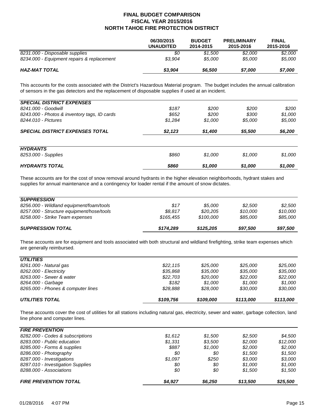|                                            | 06/30/2015<br><b>UNAUDITED</b> | <b>BUDGET</b><br>2014-2015 | <b>PRELIMINARY</b><br>2015-2016 | <b>FINAL</b><br>2015-2016 |
|--------------------------------------------|--------------------------------|----------------------------|---------------------------------|---------------------------|
| 8231.000 - Disposable supplies             | 80                             | \$1.500                    | \$2,000                         | \$2,000                   |
| 8234.000 - Equipment repairs & replacement | \$3.904                        | \$5.000                    | \$5.000                         | \$5,000                   |
| HAZ-MAT TOTAL                              | \$3,904                        | \$6,500                    | \$7,000                         | \$7,000                   |

This accounts for the costs associated with the District's Hazardous Material program. The budget includes the annual calibration of sensors in the gas detectors and the replacement of disposable supplies if used at an incident.

| <b>SPECIAL DISTRICT EXPENSES</b>             |         |         |         |         |
|----------------------------------------------|---------|---------|---------|---------|
| 8241.000 - Goodwill                          | \$187   | \$200   | \$200   | \$200   |
| 8243.000 - Photos & inventory tags, ID cards | \$652   | \$200   | \$300   | \$1,000 |
| 8244.010 - Pictures                          | \$1.284 | \$1,000 | \$5,000 | \$5,000 |
| <b>SPECIAL DISTRICT EXPENSES TOTAL</b>       | \$2,123 | \$1,400 | \$5,500 | \$6,200 |
| <b>HYDRANTS</b>                              |         |         |         |         |
| 8253.000 - Supplies                          | \$860   | \$1.000 | \$1.000 | \$1,000 |
| <b>HYDRANTS TOTAL</b>                        | \$860   | \$1,000 | \$1,000 | \$1,000 |

These accounts are for the cost of snow removal around hydrants in the higher elevation neighborhoods, hydrant stakes and supplies for annual maintenance and a contingency for loader rental if the amount of snow dictates.

| <b>SUPPRESSION</b>                        |           |           |          |          |
|-------------------------------------------|-----------|-----------|----------|----------|
| 8256.000 - Wildland equipment/foam/tools  | \$17      | \$5.000   | \$2.500  | \$2.500  |
| 8257.000 - Structure equipment/hose/tools | \$8.817   | \$20.205  | \$10.000 | \$10.000 |
| 8258.000 - Strike Team expenses           | \$165.455 | \$100,000 | \$85,000 | \$85,000 |
| <b>SUPPRESSION TOTAL</b>                  | \$174,289 | \$125,205 | \$97,500 | \$97,500 |

These accounts are for equipment and tools associated with both structural and wildland firefighting, strike team expenses which are generally reimbursed.

| <b>UTILITIES TOTAL</b>             | \$109,756 | \$109,000 | \$113,000 | \$113,000 |
|------------------------------------|-----------|-----------|-----------|-----------|
| 8265.000 - Phones & computer lines | \$28.888  | \$28.000  | \$30.000  | \$30.000  |
| 8264.000 - Garbage                 | \$182     | \$1.000   | \$1.000   | \$1.000   |
| 8263.000 - Sewer & water           | \$22,703  | \$20,000  | \$22,000  | \$22,000  |
| 8262.000 - Electricity             | \$35,868  | \$35,000  | \$35,000  | \$35.000  |
| 8261.000 - Natural gas             | \$22,115  | \$25,000  | \$25,000  | \$25.000  |
| <b>UTILITIES</b>                   |           |           |           |           |
|                                    |           |           |           |           |

These accounts cover the cost of utilities for all stations including natural gas, electricity, sewer and water, garbage collection, land line phone and computer lines.

| <b>FIRE PREVENTION</b>            |         |         |          |          |
|-----------------------------------|---------|---------|----------|----------|
| 8282.000 - Codes & subscriptions  | \$1.612 | \$1.500 | \$2,500  | \$4.500  |
| 8283.000 - Public education       | \$1.331 | \$3,500 | \$2,000  | \$12,000 |
| 8285.000 - Forms & supplies       | \$887   | \$1.000 | \$2,000  | \$2,000  |
| 8286.000 - Photography            | 80      | 80      | \$1.500  | \$1.500  |
| 8287.000 - Investigations         | \$1.097 | \$250   | \$3,000  | \$3,000  |
| 8287.010 - Investigation Supplies | \$0     | \$0     | \$1.000  | \$1.000  |
| 8288.000 - Associations           | \$0     | \$0     | \$1.500  | \$1,500  |
| <b>FIRE PREVENTION TOTAL</b>      | \$4,927 | \$6.250 | \$13,500 | \$25,500 |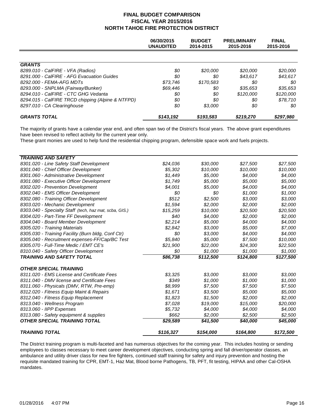|                                                   | 06/30/2015<br><b>UNAUDITED</b> | <b>BUDGET</b><br>2014-2015 | <b>PRELIMINARY</b><br>2015-2016 | <b>FINAL</b><br>2015-2016 |
|---------------------------------------------------|--------------------------------|----------------------------|---------------------------------|---------------------------|
|                                                   |                                |                            |                                 |                           |
| <b>GRANTS</b>                                     |                                |                            |                                 |                           |
| 8289.010 - CalFIRE - VFA (Radios)                 | \$0                            | \$20,000                   | \$20,000                        | \$20,000                  |
| 8291.000 - CalFIRE - AFG Evacuation Guides        | \$0                            | \$0                        | \$43,617                        | \$43,617                  |
| 8292.000 - FEMA-AFG MDTs                          | \$73.746                       | \$170.583                  | 80                              | 80                        |
| 8293.000 - SNPLMA (Fairway/Bunker)                | \$69,446                       | \$0                        | \$35,653                        | \$35,653                  |
| 8294.010 - CalFIRE - CTC GHG Vedanta              | \$0                            | \$0                        | \$120,000                       | \$120,000                 |
| 8294.015 - CalFIRE TRCD chipping (Alpine & NTFPD) | \$0                            | \$0                        | 80                              | \$78.710                  |
| 8297.010 - CA Clearinghouse                       | \$0                            | \$3,000                    | \$0                             | 80                        |
| <b>GRANTS TOTAL</b>                               | \$143.192                      | \$193,583                  | \$219,270                       | \$297.980                 |

The majority of grants have a calendar year end, and often span two of the District's fiscal years. The above grant expenditures have been revised to reflect activity for the current year only.

These grant monies are used to help fund the residential chipping program, defensible space work and fuels projects.

| <b>TRAINING AND SAFETY</b>                             |           |           |           |           |
|--------------------------------------------------------|-----------|-----------|-----------|-----------|
| 8301.020 - Line Safety Staff Development               | \$24,036  | \$30,000  | \$27,500  | \$27,500  |
| 8301.040 - Chief Officer Development                   | \$5.302   | \$10,000  | \$10.000  | \$10,000  |
| 8301.060 - Administrative Development                  | \$1.449   | \$5,000   | \$4,000   | \$4,000   |
| 8301.080 - Executive Officer Development               | \$1,749   | \$5,000   | \$5,000   | \$5,000   |
| 8302.020 - Prevention Development                      | \$4,001   | \$5,000   | \$4,000   | \$4,000   |
| 8302.040 - EMS Officer Development                     | \$0       | \$0       | \$1,000   | \$1,000   |
| 8302.080 - Training Officer Development                | \$512     | \$2,500   | \$3,000   | \$3,000   |
| 8303.020 - Mechanic Development                        | \$1,594   | \$2,000   | \$2,000   | \$2,000   |
| 8303.040 - Specialty Staff (tech, haz mat, scba, GIS.) | \$15,259  | \$10,000  | \$20,500  | \$20,500  |
| 8304.020 - Part-Time FF Development                    | \$40      | \$4,000   | \$2,000   | \$2,000   |
| 8304.040 - Board Member Development                    | \$2,214   | \$5,000   | \$4,000   | \$4,000   |
| 8305.020 - Training Materials                          | \$2,842   | \$3,000   | \$5,000   | \$7,000   |
| 8305.030 - Training Facility (Burn bldg, Conf Ctr)     | \$0       | \$3,000   | \$4,000   | \$4,000   |
| 8305.040 - Recruitment expenses-FF/Cap/BC Test         | \$5.840   | \$5,000   | \$7,500   | \$10,000  |
| 8305.070 - Full-Time Medic / EMT CE's                  | \$21,900  | \$22,000  | \$24,300  | \$22,500  |
| 8310.040 - Safety Officer Development                  | \$0       | \$1,000   | \$1,000   | \$1,000   |
| <b>TRAINING AND SAFETY TOTAL</b>                       | \$86,738  | \$112,500 | \$124,800 | \$127,500 |
| <b>OTHER SPECIAL TRAINING</b>                          |           |           |           |           |
| 8311.020 - EMS License and Certificate Fees            | \$3.325   | \$3,000   | \$3,000   | \$3,000   |
| 8311.040 - DMV license and Certificate Fees            | \$349     | \$1,000   | \$1,000   | \$1,000   |
| 8311.060 - Physicals (DMV, RTW, Pre-emp)               | \$8.999   | \$7,500   | \$7,500   | \$7,500   |
| 8312.020 - Fitness Equip Maint & Repairs               | \$1,671   | \$3,500   | \$5,000   | \$5,000   |
| 8312.040 - Fitness Equip Replacement                   | \$1,823   | \$1,500   | \$2,000   | \$2,000   |
| 8313.040 - Wellness Program                            | \$7,028   | \$19,000  | \$15,000  | \$20,000  |
| 8313.060 - IIPP Expenses                               | \$5,732   | \$4,000   | \$4,000   | \$4,000   |
| 8313.080 - Safety equipment & supplies                 | \$662     | \$2,000   | \$2,500   | \$2,500   |
| <b>OTHER SPECIAL TRAINING TOTAL</b>                    | \$29,589  | \$41,500  | \$40,000  | \$45,000  |
| <b>TRAINING TOTAL</b>                                  | \$116,327 | \$154,000 | \$164,800 | \$172,500 |

The District training program is multi-faceted and has numerous objectives for the coming year. This includes hosting or sending employees to classes necessary to meet career development objectives, conducting spring and fall driver/operator classes, an ambulance and utility driver class for new fire fighters, continued staff training for safety and injury prevention and hosting the requisite mandated training for CPR, EMT-1, Haz Mat, Blood borne Pathogens, TB, PFT, fit testing, HIPAA and other Cal-OSHA mandates.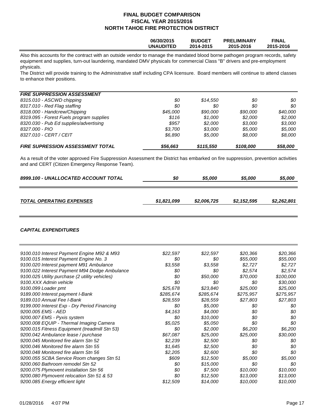|  |  | 06/30/2015<br>UNAUDITED | <b>BUDGET</b><br>2014-2015 | <b>PRELIMINARY</b><br>2015-2016 | <b>FINAL</b><br>2015-2016 |
|--|--|-------------------------|----------------------------|---------------------------------|---------------------------|
|  |  |                         |                            |                                 |                           |

Also this accounts for the contract with an outside vendor to manage the mandated blood borne pathogen program records, safety equipment and supplies, turn-out laundering, mandated DMV physicals for commercial Class "B" drivers and pre-employment physicals.

The District will provide training to the Administrative staff including CPA licensure. Board members will continue to attend classes to enhance their positions.

#### *FIRE SUPPRESSION ASSESSMENT*

| <b>FIRE SUPRESSION ASSESSMENT TOTAL</b>  | \$56,663 | \$115,550 | \$108,000 | \$58.000 |
|------------------------------------------|----------|-----------|-----------|----------|
| 8327.010 - CERT / CEIT                   | \$6.890  | \$5.000   | \$8.000   | \$8.000  |
| 8327.000 - PIO                           | \$3.700  | \$3.000   | \$5.000   | \$5.000  |
| 8320.030 - Pub Ed supplies/advertising   | \$957    | \$2.000   | \$3.000   | \$3.000  |
| 8319.095 - Forest Fuels program supplies | \$116    | \$1.000   | \$2.000   | \$2.000  |
| 8318.000 - Handcrew/Chipping             | \$45,000 | \$90.000  | \$90.000  | \$40.000 |
| 8317.010 - Red Flag staffing             | \$0      | \$0       | 80        | \$0      |
| 8315.010 - ASCWD chipping                | \$0      | \$14.550  | 80        | \$0      |
|                                          |          |           |           |          |

As a result of the voter approved Fire Suppression Assessment the District has embarked on fire suppression, prevention activities and and CERT (Citizen Emergency Response Team).

| 8999.100 - UNALLOCATED ACCOUNT TOTAL | 80          | \$5,000     | \$5,000     | \$5,000     |
|--------------------------------------|-------------|-------------|-------------|-------------|
|                                      |             |             |             |             |
| <b>TOTAL OPERATING EXPENSES</b>      | \$1,821,099 | \$2,006,725 | \$2,152,595 | \$2,262,801 |

#### *CAPITAL EXPENDITURES*

| 9100.010 Interest Payment Engine M92 & M93     | \$22,597  | \$22,597  | \$20,366  | \$20,366  |
|------------------------------------------------|-----------|-----------|-----------|-----------|
| 9100.015 Interest Payment Engine No. 3         | \$0       | \$0       | \$55,000  | \$55,000  |
| 9100.020 Interest payment M91 Ambulance        | \$3,558   | \$3,558   | \$2,727   | \$2,727   |
| 9100.022 Interest Payment M94 Dodge Ambulance  | \$0       | 80        | \$2,574   | \$2,574   |
| 9100.025 Utility purchase (2 utility vehicles) | \$0       | \$50,000  | \$70,000  | \$100,000 |
| 9100.XXX Admin vehicle                         | \$0       | \$0       | \$0       | \$30,000  |
| 9100.099 Loader pmt                            | \$25,678  | \$23,840  | \$25,000  | \$25,000  |
| 9189.000 Interest payment I-Bank               | \$285,674 | \$285,674 | \$275,957 | \$275,957 |
| 9189.010 Annual Fee I-Bank                     | \$28,559  | \$28,559  | \$27,803  | \$27,803  |
| 9199.000 Interest Exp - Dry Period Financing   | \$0       | \$5,000   | \$0       | \$0       |
| 9200.005 EMS - AED                             | \$4,163   | \$4,000   | \$0       | \$0       |
| 9200.007 EMS - Pyxis system                    | \$0       | \$10,000  | \$0       | \$0       |
| 9200.008 EQUIP - Thermal Imaging Camera        | \$5,025   | \$5,050   | \$0       | \$0       |
| 9200.015 Fitness Equipment (treadmill Stn 53)  | \$0       | \$2,000   | \$6,200   | \$6,200   |
| 9200.042 Ambulance lease / purchase            | \$67,087  | \$25,000  | \$25,000  | \$30,000  |
| 9200.045 Monitored fire alarm Stn 52           | \$2,239   | \$2,500   | \$0       | \$0       |
| 9200.046 Monitored fire alarm Stn 55           | \$1,645   | \$2,500   | \$0       | \$0       |
| 9200.048 Monitored fire alarm Stn 56           | \$2,205   | \$2,600   | \$0       | \$0       |
| 9200.055 SCBA Service Room changes Stn 51      | \$609     | \$12,500  | \$5,000   | \$5,000   |
| 9200.060 Bathroom remodel Stn 52               | \$0       | \$15,000  | \$0       | \$0       |
| 9200.075 Plymovent installation Stn 56         | \$0       | \$7,500   | \$10,000  | \$10,000  |
| 9200.080 Plymovent relocation Stn 51 & 53      | \$0       | \$12,500  | \$13,000  | \$13,000  |
| 9200.085 Energy efficient light                | \$12,509  | \$14,000  | \$10,000  | \$10,000  |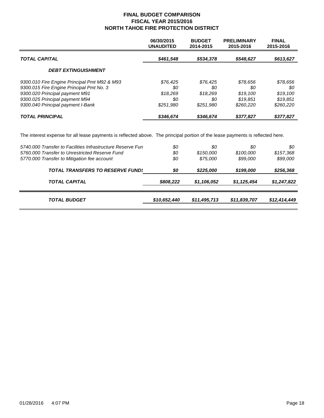|                                                                                                                                                                                                   | 06/30/2015<br><b>UNAUDITED</b>                | <b>BUDGET</b><br>2014-2015                     | <b>PRELIMINARY</b><br>2015-2016                      | <b>FINAL</b><br>2015-2016                           |
|---------------------------------------------------------------------------------------------------------------------------------------------------------------------------------------------------|-----------------------------------------------|------------------------------------------------|------------------------------------------------------|-----------------------------------------------------|
| <b>TOTAL CAPITAL</b>                                                                                                                                                                              | \$461,548                                     | \$534,378                                      | \$548,627                                            | \$613,627                                           |
| <b>DEBT EXTINGUISHMENT</b>                                                                                                                                                                        |                                               |                                                |                                                      |                                                     |
| 9300.010 Fire Engine Principal Pmt M92 & M93<br>9300.015 Fire Engine Principal Pmt No. 3<br>9300.020 Principal payment M91<br>9300.025 Principal payment M94<br>9300.040 Principal payment I-Bank | \$76.425<br>80<br>\$18.269<br>80<br>\$251,980 | \$76,425<br>80<br>\$18.269<br>\$0<br>\$251.980 | \$78.656<br>\$0<br>\$19.100<br>\$19.851<br>\$260.220 | \$78,656<br>80<br>\$19,100<br>\$19.851<br>\$260,220 |
| <b>TOTAL PRINCIPAL</b>                                                                                                                                                                            | \$346,674                                     | \$346,674                                      | \$377,827                                            | \$377,827                                           |

The interest expense for all lease payments is reflected above. The principal portion of the lease payments is reflected here.

| 5740.000 Transfer to Facilities Infrastructure Reserve Fur<br>5760,000 Transfer to Unrestricted Reserve Fund | \$0<br>\$0   | 80<br>\$150,000 | \$0<br>\$100,000 | 80<br>\$157,368 |
|--------------------------------------------------------------------------------------------------------------|--------------|-----------------|------------------|-----------------|
| 5770.000 Transfer to Mitigation fee account                                                                  | \$0          | \$75,000        | \$99,000         | \$99,000        |
| <b>TOTAL TRANSFERS TO RESERVE FUND:</b>                                                                      | \$0          | \$225,000       | \$199,000        | \$256,368       |
| <b>TOTAL CAPITAL</b>                                                                                         | \$808,222    | \$1,106,052     | \$1,125,454      | \$1,247,822     |
| <b>TOTAL BUDGET</b>                                                                                          | \$10,652,440 | \$11,495,713    | \$11,839,707     | \$12,414,449    |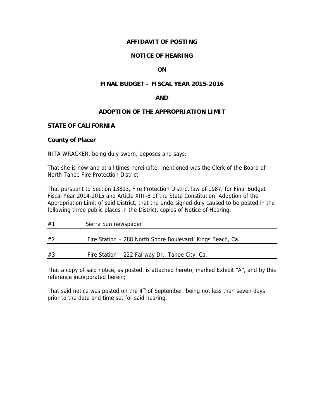# **AFFIDAVIT OF POSTING**

# **NOTICE OF HEARING**

# **ON**

### **FINAL BUDGET – FISCAL YEAR 2015-2016**

#### **AND**

# **ADOPTION OF THE APPROPRIATION LIMIT**

#### **STATE OF CALIFORNIA**

#### **County of Placer**

NITA WRACKER, being duly sworn, deposes and says:

That she is now and at all times hereinafter mentioned was the Clerk of the Board of North Tahoe Fire Protection District:

That pursuant to Section 13893, Fire Protection District law of 1987, for Final Budget Fiscal Year 2014-2015 and Article XIII-B of the State Constitution, Adoption of the Appropriation Limit of said District, that the undersigned duly caused to be posted in the following three public places in the District, copies of Notice of Hearing:

| #1 | Sierra Sun newspaper                                       |
|----|------------------------------------------------------------|
| #2 | Fire Station - 288 North Shore Boulevard, Kings Beach, Ca. |
| #3 | Fire Station - 222 Fairway Dr., Tahoe City, Ca.            |

That a copy of said notice, as posted, is attached hereto, marked Exhibit "A", and by this reference incorporated herein;

That said notice was posted on the  $4<sup>th</sup>$  of September, being not less than seven days prior to the date and time set for said hearing.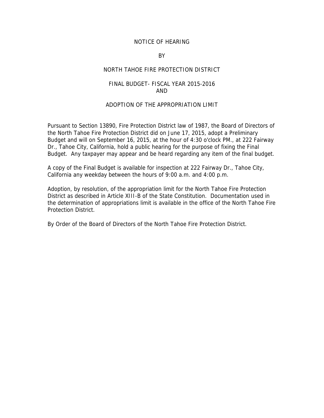#### NOTICE OF HEARING

#### BY

#### NORTH TAHOE FIRE PROTECTION DISTRICT

#### FINAL BUDGET- FISCAL YEAR 2015-2016 AND

#### ADOPTION OF THE APPROPRIATION LIMIT

Pursuant to Section 13890, Fire Protection District law of 1987, the Board of Directors of the North Tahoe Fire Protection District did on June 17, 2015, adopt a Preliminary Budget and will on September 16, 2015, at the hour of 4:30 o'clock PM., at 222 Fairway Dr., Tahoe City, California, hold a public hearing for the purpose of fixing the Final Budget. Any taxpayer may appear and be heard regarding any item of the final budget.

A copy of the Final Budget is available for inspection at 222 Fairway Dr., Tahoe City, California any weekday between the hours of 9:00 a.m. and 4:00 p.m.

Adoption, by resolution, of the appropriation limit for the North Tahoe Fire Protection District as described in Article XIII-B of the State Constitution. Documentation used in the determination of appropriations limit is available in the office of the North Tahoe Fire Protection District.

By Order of the Board of Directors of the North Tahoe Fire Protection District.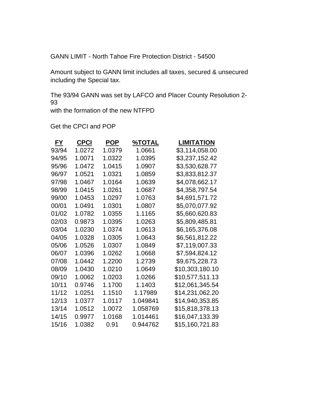GANN LIMIT - North Tahoe Fire Protection District - 54500

Amount subject to GANN limit includes all taxes, secured & unsecured including the Special tax.

The 93/94 GANN was set by LAFCO and Placer County Resolution 2- 93

with the formation of the new NTFPD

Get the CPCI and POP

| <u>FY</u> | <b>CPCI</b> | <b>POP</b> | <u>%ΤΟΤΑL</u> | <b>LIMITATION</b> |
|-----------|-------------|------------|---------------|-------------------|
| 93/94     | 1.0272      | 1.0379     | 1.0661        | \$3,114,058.00    |
| 94/95     | 1.0071      | 1.0322     | 1.0395        | \$3,237,152.42    |
| 95/96     | 1.0472      | 1.0415     | 1.0907        | \$3,530,628.77    |
| 96/97     | 1.0521      | 1.0321     | 1.0859        | \$3,833,812.37    |
| 97/98     | 1.0467      | 1.0164     | 1.0639        | \$4,078,662.17    |
| 98/99     | 1.0415      | 1.0261     | 1.0687        | \$4,358,797.54    |
| 99/00     | 1.0453      | 1.0297     | 1.0763        | \$4,691,571.72    |
| 00/01     | 1.0491      | 1.0301     | 1.0807        | \$5,070,077.92    |
| 01/02     | 1.0782      | 1.0355     | 1.1165        | \$5,660,620.83    |
| 02/03     | 0.9873      | 1.0395     | 1.0263        | \$5,809,485.81    |
| 03/04     | 1.0230      | 1.0374     | 1.0613        | \$6,165,376.08    |
| 04/05     | 1.0328      | 1.0305     | 1.0643        | \$6,561,812.22    |
| 05/06     | 1.0526      | 1.0307     | 1.0849        | \$7,119,007.33    |
| 06/07     | 1.0396      | 1.0262     | 1.0668        | \$7,594,824.12    |
| 07/08     | 1.0442      | 1.2200     | 1.2739        | \$9,675,228.73    |
| 08/09     | 1.0430      | 1.0210     | 1.0649        | \$10,303,180.10   |
| 09/10     | 1.0062      | 1.0203     | 1.0266        | \$10,577,511.13   |
| 10/11     | 0.9746      | 1.1700     | 1.1403        | \$12,061,345.54   |
| 11/12     | 1.0251      | 1.1510     | 1.17989       | \$14,231,062.20   |
| 12/13     | 1.0377      | 1.0117     | 1.049841      | \$14,940,353.85   |
| 13/14     | 1.0512      | 1.0072     | 1.058769      | \$15,818,378.13   |
| 14/15     | 0.9977      | 1.0168     | 1.014461      | \$16,047,133.39   |
| 15/16     | 1.0382      | 0.91       | 0.944762      | \$15,160,721.83   |